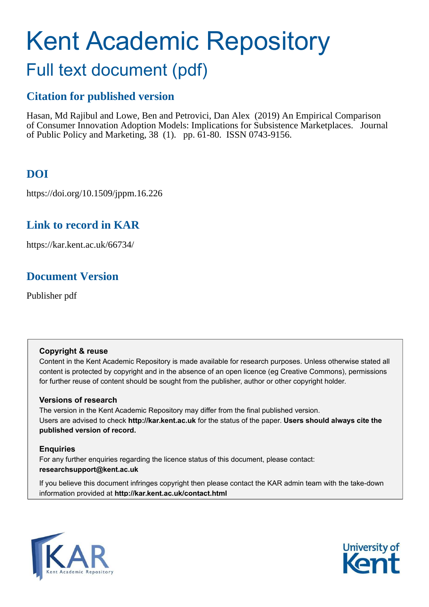# Kent Academic Repository

# Full text document (pdf)

# **Citation for published version**

Hasan, Md Rajibul and Lowe, Ben and Petrovici, Dan Alex (2019) An Empirical Comparison of Consumer Innovation Adoption Models: Implications for Subsistence Marketplaces. Journal of Public Policy and Marketing, 38 (1). pp. 61-80. ISSN 0743-9156.

# **DOI**

https://doi.org/10.1509/jppm.16.226

# **Link to record in KAR**

https://kar.kent.ac.uk/66734/

# **Document Version**

Publisher pdf

# **Copyright & reuse**

Content in the Kent Academic Repository is made available for research purposes. Unless otherwise stated all content is protected by copyright and in the absence of an open licence (eg Creative Commons), permissions for further reuse of content should be sought from the publisher, author or other copyright holder.

# **Versions of research**

The version in the Kent Academic Repository may differ from the final published version. Users are advised to check **http://kar.kent.ac.uk** for the status of the paper. **Users should always cite the published version of record.**

# **Enquiries**

For any further enquiries regarding the licence status of this document, please contact: **researchsupport@kent.ac.uk**

If you believe this document infringes copyright then please contact the KAR admin team with the take-down information provided at **http://kar.kent.ac.uk/contact.html**



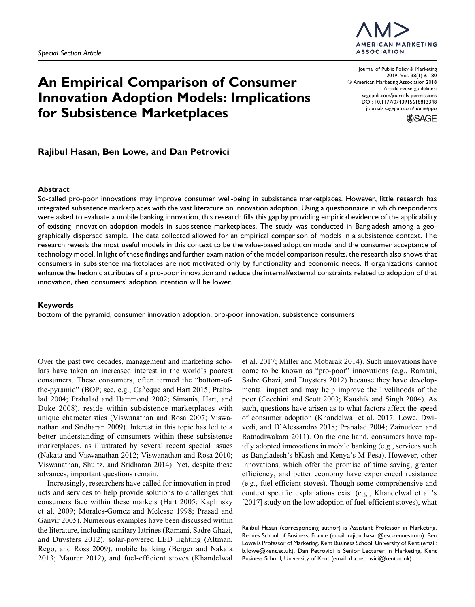

# An Empirical Comparison of Consumer Innovation Adoption Models: Implications for Subsistence Marketplaces

Journal of Public Policy & Marketing 2019, Vol. 38(1) 61-80 © American Marketing Association 2018 Article reuse guidelines: [sagepub.com/journals-permissions](https://sagepub.com/journals-permissions) [DOI: 10.1177/0743915618813348](https://doi.org/10.1177/0743915618813348) [journals.sagepub.com/home/ppo](http://journals.sagepub.com/home/ppo)



# Rajibul Hasan, Ben Lowe, and Dan Petrovici

#### Abstract

So-called pro-poor innovations may improve consumer well-being in subsistence marketplaces. However, little research has integrated subsistence marketplaces with the vast literature on innovation adoption. Using a questionnaire in which respondents were asked to evaluate a mobile banking innovation, this research fills this gap by providing empirical evidence of the applicability of existing innovation adoption models in subsistence marketplaces. The study was conducted in Bangladesh among a geographically dispersed sample. The data collected allowed for an empirical comparison of models in a subsistence context. The research reveals the most useful models in this context to be the value-based adoption model and the consumer acceptance of technology model. In light of these findings and further examination of the model comparison results, the research also shows that consumers in subsistence marketplaces are not motivated only by functionality and economic needs. If organizations cannot enhance the hedonic attributes of a pro-poor innovation and reduce the internal/external constraints related to adoption of that innovation, then consumers' adoption intention will be lower.

#### Keywords

bottom of the pyramid, consumer innovation adoption, pro-poor innovation, subsistence consumers

Over the past two decades, management and marketing scholars have taken an increased interest in the world's poorest consumers. These consumers, often termed the "bottom-ofthe-pyramid" (BOP; see, e.g., Cañeque and Hart 2015; Prahalad 2004; Prahalad and Hammond 2002; Simanis, Hart, and Duke 2008), reside within subsistence marketplaces with unique characteristics (Viswanathan and Rosa 2007; Viswanathan and Sridharan 2009). Interest in this topic has led to a better understanding of consumers within these subsistence marketplaces, as illustrated by several recent special issues (Nakata and Viswanathan 2012; Viswanathan and Rosa 2010; Viswanathan, Shultz, and Sridharan 2014). Yet, despite these advances, important questions remain.

Increasingly, researchers have called for innovation in products and services to help provide solutions to challenges that consumers face within these markets (Hart 2005; Kaplinsky et al. 2009; Morales-Gomez and Melesse 1998; Prasad and Ganvir 2005). Numerous examples have been discussed within the literature, including sanitary latrines (Ramani, Sadre Ghazi, and Duysters 2012), solar-powered LED lighting (Altman, Rego, and Ross 2009), mobile banking (Berger and Nakata 2013; Maurer 2012), and fuel-efficient stoves (Khandelwal et al. 2017; Miller and Mobarak 2014). Such innovations have come to be known as "pro-poor" innovations (e.g., Ramani, Sadre Ghazi, and Duysters 2012) because they have developmental impact and may help improve the livelihoods of the poor (Cecchini and Scott 2003; Kaushik and Singh 2004). As such, questions have arisen as to what factors affect the speed of consumer adoption (Khandelwal et al. 2017; Lowe, Dwivedi, and D'Alessandro 2018; Prahalad 2004; Zainudeen and Ratnadiwakara 2011). On the one hand, consumers have rapidly adopted innovations in mobile banking (e.g., services such as Bangladesh's bKash and Kenya's M-Pesa). However, other innovations, which offer the promise of time saving, greater efficiency, and better economy have experienced resistance (e.g., fuel-efficient stoves). Though some comprehensive and context specific explanations exist (e.g., Khandelwal et al.'s [2017] study on the low adoption of fuel-efficient stoves), what

Rajibul Hasan (corresponding author) is Assistant Professor in Marketing, Rennes School of Business, France (email: [rajibul.hasan@esc-rennes.com](mailto:rajibul.hasan@esc-rennes.com)). Ben Lowe is Professor of Marketing, Kent Business School, University of Kent (email: [b.lowe@kent.ac.uk\)](mailto:b.�lowe@kent.ac.uk). Dan Petrovici is Senior Lecturer in Marketing, Kent Business School, University of Kent (email: [d.a.petrovici@kent.ac.uk](mailto:d.a.petrovici@kent.ac.uk)).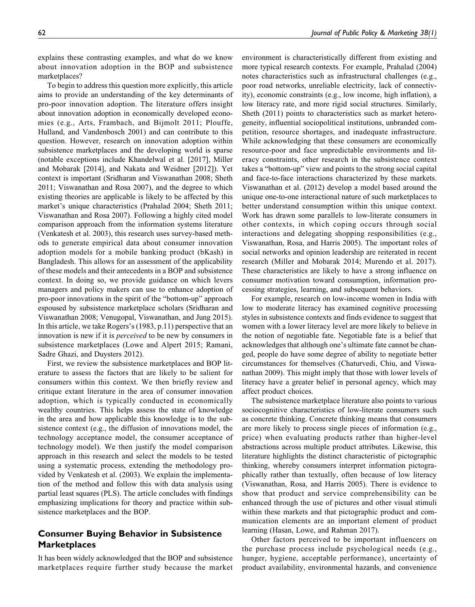explains these contrasting examples, and what do we know about innovation adoption in the BOP and subsistence marketplaces?

To begin to address this question more explicitly, this article aims to provide an understanding of the key determinants of pro-poor innovation adoption. The literature offers insight about innovation adoption in economically developed economies (e.g., Arts, Frambach, and Bijmolt 2011; Plouffe, Hulland, and Vandenbosch 2001) and can contribute to this question. However, research on innovation adoption within subsistence marketplaces and the developing world is sparse (notable exceptions include Khandelwal et al. [2017], Miller and Mobarak [2014], and Nakata and Weidner [2012]). Yet context is important (Sridharan and Viswanathan 2008; Sheth 2011; Viswanathan and Rosa 2007), and the degree to which existing theories are applicable is likely to be affected by this market's unique characteristics (Prahalad 2004; Sheth 2011; Viswanathan and Rosa 2007). Following a highly cited model comparison approach from the information systems literature (Venkatesh et al. 2003), this research uses survey-based methods to generate empirical data about consumer innovation adoption models for a mobile banking product (bKash) in Bangladesh. This allows for an assessment of the applicability of these models and their antecedents in a BOP and subsistence context. In doing so, we provide guidance on which levers managers and policy makers can use to enhance adoption of pro-poor innovations in the spirit of the "bottom-up" approach espoused by subsistence marketplace scholars (Sridharan and Viswanathan 2008; Venugopal, Viswanathan, and Jung 2015). In this article, we take Rogers's (1983, p.11) perspective that an innovation is new if it is *perceived* to be new by consumers in subsistence marketplaces (Lowe and Alpert 2015; Ramani, Sadre Ghazi, and Duysters 2012).

First, we review the subsistence marketplaces and BOP literature to assess the factors that are likely to be salient for consumers within this context. We then briefly review and critique extant literature in the area of consumer innovation adoption, which is typically conducted in economically wealthy countries. This helps assess the state of knowledge in the area and how applicable this knowledge is to the subsistence context (e.g., the diffusion of innovations model, the technology acceptance model, the consumer acceptance of technology model). We then justify the model comparison approach in this research and select the models to be tested using a systematic process, extending the methodology provided by Venkatesh et al. (2003). We explain the implementation of the method and follow this with data analysis using partial least squares (PLS). The article concludes with findings emphasizing implications for theory and practice within subsistence marketplaces and the BOP.

# Consumer Buying Behavior in Subsistence **Marketplaces**

It has been widely acknowledged that the BOP and subsistence marketplaces require further study because the market

environment is characteristically different from existing and more typical research contexts. For example, Prahalad (2004) notes characteristics such as infrastructural challenges (e.g., poor road networks, unreliable electricity, lack of connectivity), economic constraints (e.g., low income, high inflation), a low literacy rate, and more rigid social structures. Similarly, Sheth (2011) points to characteristics such as market heterogeneity, influential sociopolitical institutions, unbranded competition, resource shortages, and inadequate infrastructure. While acknowledging that these consumers are economically resource-poor and face unpredictable environments and literacy constraints, other research in the subsistence context takes a "bottom-up" view and points to the strong social capital and face-to-face interactions characterized by these markets. Viswanathan et al. (2012) develop a model based around the unique one-to-one interactional nature of such marketplaces to better understand consumption within this unique context. Work has drawn some parallels to low-literate consumers in other contexts, in which coping occurs through social interactions and delegating shopping responsibilities (e.g., Viswanathan, Rosa, and Harris 2005). The important roles of social networks and opinion leadership are reiterated in recent research (Miller and Mobarak 2014; Murendo et al. 2017). These characteristics are likely to have a strong influence on consumer motivation toward consumption, information processing strategies, learning, and subsequent behaviors.

For example, research on low-income women in India with low to moderate literacy has examined cognitive processing styles in subsistence contexts and finds evidence to suggest that women with a lower literacy level are more likely to believe in the notion of negotiable fate. Negotiable fate is a belief that acknowledges that although one's ultimate fate cannot be changed, people do have some degree of ability to negotiate better circumstances for themselves (Chaturvedi, Chiu, and Viswanathan 2009). This might imply that those with lower levels of literacy have a greater belief in personal agency, which may affect product choices.

The subsistence marketplace literature also points to various sociocognitive characteristics of low-literate consumers such as concrete thinking. Concrete thinking means that consumers are more likely to process single pieces of information (e.g., price) when evaluating products rather than higher-level abstractions across multiple product attributes. Likewise, this literature highlights the distinct characteristic of pictographic thinking, whereby consumers interpret information pictographically rather than textually, often because of low literacy (Viswanathan, Rosa, and Harris 2005). There is evidence to show that product and service comprehensibility can be enhanced through the use of pictures and other visual stimuli within these markets and that pictographic product and communication elements are an important element of product learning (Hasan, Lowe, and Rahman 2017).

Other factors perceived to be important influencers on the purchase process include psychological needs (e.g., hunger, hygiene, acceptable performance), uncertainty of product availability, environmental hazards, and convenience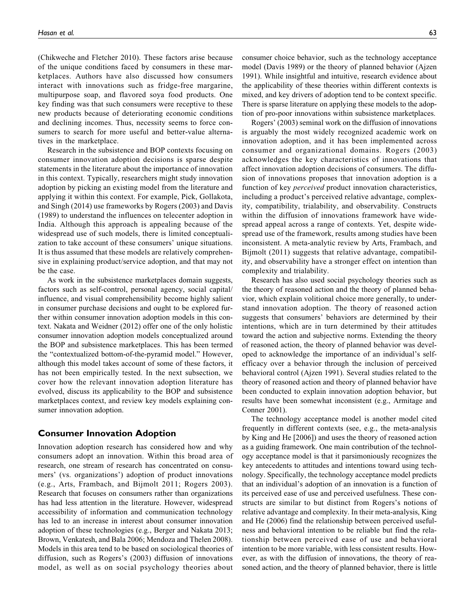(Chikweche and Fletcher 2010). These factors arise because of the unique conditions faced by consumers in these marketplaces. Authors have also discussed how consumers interact with innovations such as fridge-free margarine, multipurpose soap, and flavored soya food products. One key finding was that such consumers were receptive to these new products because of deteriorating economic conditions and declining incomes. Thus, necessity seems to force consumers to search for more useful and better-value alternatives in the marketplace.

Research in the subsistence and BOP contexts focusing on consumer innovation adoption decisions is sparse despite statements in the literature about the importance of innovation in this context. Typically, researchers might study innovation adoption by picking an existing model from the literature and applying it within this context. For example, Pick, Gollakota, and Singh (2014) use frameworks by Rogers (2003) and Davis (1989) to understand the influences on telecenter adoption in India. Although this approach is appealing because of the widespread use of such models, there is limited conceptualization to take account of these consumers' unique situations. It is thus assumed that these models are relatively comprehensive in explaining product/service adoption, and that may not be the case.

As work in the subsistence marketplaces domain suggests, factors such as self-control, personal agency, social capital/ influence, and visual comprehensibility become highly salient in consumer purchase decisions and ought to be explored further within consumer innovation adoption models in this context. Nakata and Weidner (2012) offer one of the only holistic consumer innovation adoption models conceptualized around the BOP and subsistence marketplaces. This has been termed the "contextualized bottom-of-the-pyramid model." However, although this model takes account of some of these factors, it has not been empirically tested. In the next subsection, we cover how the relevant innovation adoption literature has evolved, discuss its applicability to the BOP and subsistence marketplaces context, and review key models explaining consumer innovation adoption.

## Consumer Innovation Adoption

Innovation adoption research has considered how and why consumers adopt an innovation. Within this broad area of research, one stream of research has concentrated on consumers' (vs. organizations') adoption of product innovations (e.g., Arts, Frambach, and Bijmolt 2011; Rogers 2003). Research that focuses on consumers rather than organizations has had less attention in the literature. However, widespread accessibility of information and communication technology has led to an increase in interest about consumer innovation adoption of these technologies (e.g., Berger and Nakata 2013; Brown, Venkatesh, and Bala 2006; Mendoza and Thelen 2008). Models in this area tend to be based on sociological theories of diffusion, such as Rogers's (2003) diffusion of innovations model, as well as on social psychology theories about

consumer choice behavior, such as the technology acceptance model (Davis 1989) or the theory of planned behavior (Ajzen 1991). While insightful and intuitive, research evidence about the applicability of these theories within different contexts is mixed, and key drivers of adoption tend to be context specific. There is sparse literature on applying these models to the adoption of pro-poor innovations within subsistence marketplaces.

Rogers' (2003) seminal work on the diffusion of innovations is arguably the most widely recognized academic work on innovation adoption, and it has been implemented across consumer and organizational domains. Rogers (2003) acknowledges the key characteristics of innovations that affect innovation adoption decisions of consumers. The diffusion of innovations proposes that innovation adoption is a function of key *perceived* product innovation characteristics, including a product's perceived relative advantage, complexity, compatibility, trialability, and observability. Constructs within the diffusion of innovations framework have widespread appeal across a range of contexts. Yet, despite widespread use of the framework, results among studies have been inconsistent. A meta-analytic review by Arts, Frambach, and Bijmolt (2011) suggests that relative advantage, compatibility, and observability have a stronger effect on intention than complexity and trialability.

Research has also used social psychology theories such as the theory of reasoned action and the theory of planned behavior, which explain volitional choice more generally, to understand innovation adoption. The theory of reasoned action suggests that consumers' behaviors are determined by their intentions, which are in turn determined by their attitudes toward the action and subjective norms. Extending the theory of reasoned action, the theory of planned behavior was developed to acknowledge the importance of an individual's selfefficacy over a behavior through the inclusion of perceived behavioral control (Ajzen 1991). Several studies related to the theory of reasoned action and theory of planned behavior have been conducted to explain innovation adoption behavior, but results have been somewhat inconsistent (e.g., Armitage and Conner 2001).

The technology acceptance model is another model cited frequently in different contexts (see, e.g., the meta-analysis by King and He [2006]) and uses the theory of reasoned action as a guiding framework. One main contribution of the technology acceptance model is that it parsimoniously recognizes the key antecedents to attitudes and intentions toward using technology. Specifically, the technology acceptance model predicts that an individual's adoption of an innovation is a function of its perceived ease of use and perceived usefulness. These constructs are similar to but distinct from Rogers's notions of relative advantage and complexity. In their meta-analysis, King and He (2006) find the relationship between perceived usefulness and behavioral intention to be reliable but find the relationship between perceived ease of use and behavioral intention to be more variable, with less consistent results. However, as with the diffusion of innovations, the theory of reasoned action, and the theory of planned behavior, there is little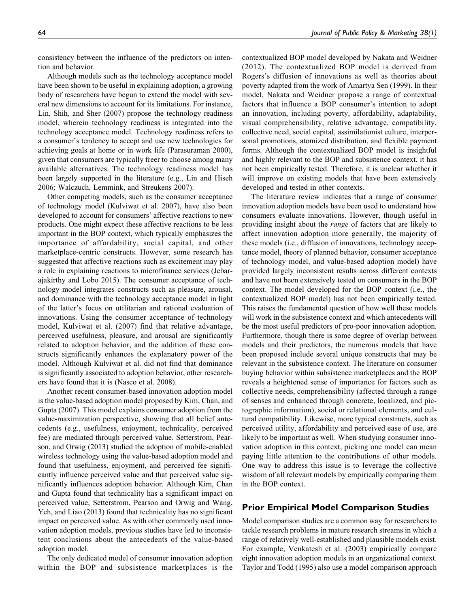consistency between the influence of the predictors on intention and behavior.

Although models such as the technology acceptance model have been shown to be useful in explaining adoption, a growing body of researchers have begun to extend the model with several new dimensions to account for its limitations. For instance, Lin, Shih, and Sher (2007) propose the technology readiness model, wherein technology readiness is integrated into the technology acceptance model. Technology readiness refers to a consumer's tendency to accept and use new technologies for achieving goals at home or in work life (Parasuraman 2000), given that consumers are typically freer to choose among many available alternatives. The technology readiness model has been largely supported in the literature (e.g., Lin and Hiseh 2006; Walczuch, Lemmink, and Streukens 2007).

Other competing models, such as the consumer acceptance of technology model (Kulviwat et al. 2007), have also been developed to account for consumers' affective reactions to new products. One might expect these affective reactions to be less important in the BOP context, which typically emphasizes the importance of affordability, social capital, and other marketplace-centric constructs. However, some research has suggested that affective reactions such as excitement may play a role in explaining reactions to microfinance services (Jebarajakirthy and Lobo 2015). The consumer acceptance of technology model integrates constructs such as pleasure, arousal, and dominance with the technology acceptance model in light of the latter's focus on utilitarian and rational evaluation of innovations. Using the consumer acceptance of technology model, Kulviwat et al. (2007) find that relative advantage, perceived usefulness, pleasure, and arousal are significantly related to adoption behavior, and the addition of these constructs significantly enhances the explanatory power of the model. Although Kulviwat et al. did not find that dominance is significantly associated to adoption behavior, other researchers have found that it is (Nasco et al. 2008).

Another recent consumer-based innovation adoption model is the value-based adoption model proposed by Kim, Chan, and Gupta (2007). This model explains consumer adoption from the value-maximization perspective, showing that all belief antecedents (e.g., usefulness, enjoyment, technicality, perceived fee) are mediated through perceived value. Setterstrom, Pearson, and Orwig (2013) studied the adoption of mobile-enabled wireless technology using the value-based adoption model and found that usefulness, enjoyment, and perceived fee significantly influence perceived value and that perceived value significantly influences adoption behavior. Although Kim, Chan and Gupta found that technicality has a significant impact on perceived value, Setterstrom, Pearson and Orwig and Wang, Yeh, and Liao (2013) found that technicality has no significant impact on perceived value. As with other commonly used innovation adoption models, previous studies have led to inconsistent conclusions about the antecedents of the value-based adoption model.

The only dedicated model of consumer innovation adoption within the BOP and subsistence marketplaces is the contextualized BOP model developed by Nakata and Weidner (2012). The contextualized BOP model is derived from Rogers's diffusion of innovations as well as theories about poverty adapted from the work of Amartya Sen (1999). In their model, Nakata and Weidner propose a range of contextual factors that influence a BOP consumer's intention to adopt an innovation, including poverty, affordability, adaptability, visual comprehensibility, relative advantage, compatibility, collective need, social capital, assimilationist culture, interpersonal promotions, atomized distribution, and flexible payment forms. Although the contextualized BOP model is insightful and highly relevant to the BOP and subsistence context, it has not been empirically tested. Therefore, it is unclear whether it will improve on existing models that have been extensively developed and tested in other contexts.

The literature review indicates that a range of consumer innovation adoption models have been used to understand how consumers evaluate innovations. However, though useful in providing insight about the *range* of factors that are likely to affect innovation adoption more generally, the majority of these models (i.e., diffusion of innovations, technology acceptance model, theory of planned behavior, consumer acceptance of technology model, and value-based adoption model) have provided largely inconsistent results across different contexts and have not been extensively tested on consumers in the BOP context. The model developed for the BOP context (i.e., the contextualized BOP model) has not been empirically tested. This raises the fundamental question of how well these models will work in the subsistence context and which antecedents will be the most useful predictors of pro-poor innovation adoption. Furthermore, though there is some degree of overlap between models and their predictors, the numerous models that have been proposed include several unique constructs that may be relevant in the subsistence context. The literature on consumer buying behavior within subsistence marketplaces and the BOP reveals a heightened sense of importance for factors such as collective needs, comprehensibility (affected through a range of senses and enhanced through concrete, localized, and pictographic information), social or relational elements, and cultural compatibility. Likewise, more typical constructs, such as perceived utility, affordability and perceived ease of use, are likely to be important as well. When studying consumer innovation adoption in this context, picking one model can mean paying little attention to the contributions of other models. One way to address this issue is to leverage the collective wisdom of all relevant models by empirically comparing them in the BOP context.

# Prior Empirical Model Comparison Studies

Model comparison studies are a common way for researchers to tackle research problems in mature research streams in which a range of relatively well-established and plausible models exist. For example, Venkatesh et al. (2003) empirically compare eight innovation adoption models in an organizational context. Taylor and Todd (1995) also use a model comparison approach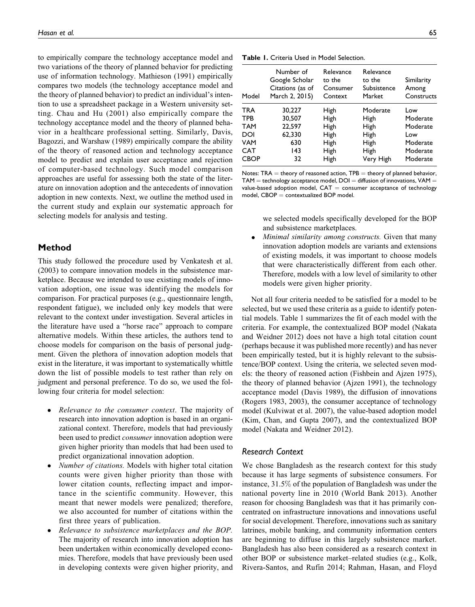to empirically compare the technology acceptance model and two variations of the theory of planned behavior for predicting use of information technology. Mathieson (1991) empirically compares two models (the technology acceptance model and the theory of planned behavior) to predict an individual's intention to use a spreadsheet package in a Western university setting. Chau and Hu (2001) also empirically compare the technology acceptance model and the theory of planned behavior in a healthcare professional setting. Similarly, Davis, Bagozzi, and Warshaw (1989) empirically compare the ability of the theory of reasoned action and technology acceptance model to predict and explain user acceptance and rejection of computer-based technology. Such model comparison approaches are useful for assessing both the state of the literature on innovation adoption and the antecedents of innovation adoption in new contexts. Next, we outline the method used in the current study and explain our systematic approach for selecting models for analysis and testing.

# Method

This study followed the procedure used by Venkatesh et al. (2003) to compare innovation models in the subsistence marketplace. Because we intended to use existing models of innovation adoption, one issue was identifying the models for comparison. For practical purposes (e.g., questionnaire length, respondent fatigue), we included only key models that were relevant to the context under investigation. Several articles in the literature have used a "horse race" approach to compare alternative models. Within these articles, the authors tend to choose models for comparison on the basis of personal judgment. Given the plethora of innovation adoption models that exist in the literature, it was important to systematically whittle down the list of possible models to test rather than rely on judgment and personal preference. To do so, we used the following four criteria for model selection:

- $\bullet$  *Relevance to the consumer context*. The majority of research into innovation adoption is based in an organizational context. Therefore, models that had previously been used to predict *consumer* innovation adoption were given higher priority than models that had been used to predict organizational innovation adoption.
- $\bullet$  *Number of citations.* Models with higher total citation counts were given higher priority than those with lower citation counts, reflecting impact and importance in the scientific community. However, this meant that newer models were penalized; therefore, we also accounted for number of citations within the first three years of publication.
- $\bullet$  *Relevance to subsistence marketplaces and the BOP.* The majority of research into innovation adoption has been undertaken within economically developed economies. Therefore, models that have previously been used in developing contexts were given higher priority, and

Table 1. Criteria Used in Model Selection.

| Model       | Number of<br>Google Scholar<br>Citations (as of<br>March 2, 2015) | Relevance<br>to the<br>Consumer<br>Context | Relevance<br>to the<br>Subsistence<br>Market | Similarity<br>Among<br>Constructs |
|-------------|-------------------------------------------------------------------|--------------------------------------------|----------------------------------------------|-----------------------------------|
| <b>TRA</b>  | 30,227                                                            | High                                       | Moderate                                     | Low                               |
| <b>TPB</b>  | 30,507                                                            | High                                       | High                                         | Moderate                          |
| <b>TAM</b>  | 22,597                                                            | High                                       | High                                         | Moderate                          |
| DOI         | 62,330                                                            | High                                       | High                                         | Low                               |
| <b>VAM</b>  | 630                                                               | High                                       | High                                         | Moderate                          |
| <b>CAT</b>  | 143                                                               | High                                       | High                                         | Moderate                          |
| <b>CBOP</b> | 32                                                                | High                                       | Very High                                    | Moderate                          |

Notes:  $TRA =$  theory of reasoned action,  $TPB =$  theory of planned behavior,  $TAM =$  technology acceptance model,  $DOI =$  diffusion of innovations,  $VAM =$ value-based adoption model,  $CAT =$  consumer acceptance of technology  $model$ ,  $CBOP = contextualized BOP model$ .

> we selected models specifically developed for the BOP and subsistence marketplaces.

- *Minimal similarity among constructs.* Given that many innovation adoption models are variants and extensions of existing models, it was important to choose models that were characteristically different from each other. Therefore, models with a low level of similarity to other models were given higher priority.

Not all four criteria needed to be satisfied for a model to be selected, but we used these criteria as a guide to identify potential models. Table 1 summarizes the fit of each model with the criteria. For example, the contextualized BOP model (Nakata and Weidner 2012) does not have a high total citation count (perhaps because it was published more recently) and has never been empirically tested, but it is highly relevant to the subsistence/BOP context. Using the criteria, we selected seven models: the theory of reasoned action (Fishbein and Ajzen 1975), the theory of planned behavior (Ajzen 1991), the technology acceptance model (Davis 1989), the diffusion of innovations (Rogers 1983, 2003), the consumer acceptance of technology model (Kulviwat et al. 2007), the value-based adoption model (Kim, Chan, and Gupta 2007), and the contextualized BOP model (Nakata and Weidner 2012).

## *Research Context*

We chose Bangladesh as the research context for this study because it has large segments of subsistence consumers. For instance, 31.5% of the population of Bangladesh was under the national poverty line in 2010 (World Bank 2013). Another reason for choosing Bangladesh was that it has primarily concentrated on infrastructure innovations and innovations useful for social development. Therefore, innovations such as sanitary latrines, mobile banking, and community information centers are beginning to diffuse in this largely subsistence market. Bangladesh has also been considered as a research context in other BOP or subsistence market–related studies (e.g., Kolk, Rivera-Santos, and Rufín 2014; Rahman, Hasan, and Floyd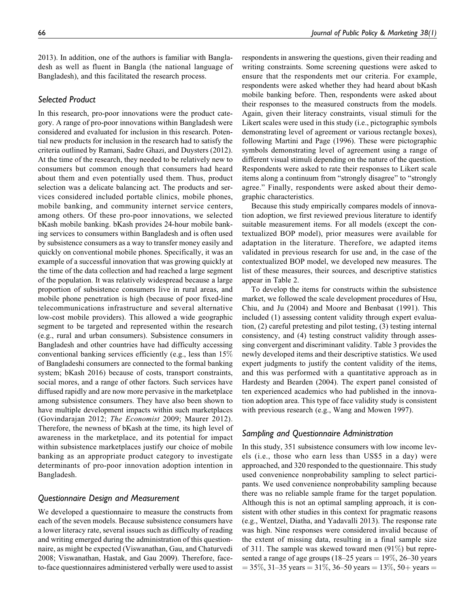2013). In addition, one of the authors is familiar with Bangladesh as well as fluent in Bangla (the national language of Bangladesh), and this facilitated the research process.

### *Selected Product*

In this research, pro-poor innovations were the product category. A range of pro-poor innovations within Bangladesh were considered and evaluated for inclusion in this research. Potential new products for inclusion in the research had to satisfy the criteria outlined by Ramani, Sadre Ghazi, and Duysters (2012). At the time of the research, they needed to be relatively new to consumers but common enough that consumers had heard about them and even potentially used them. Thus, product selection was a delicate balancing act. The products and services considered included portable clinics, mobile phones, mobile banking, and community internet service centers, among others. Of these pro-poor innovations, we selected bKash mobile banking. bKash provides 24-hour mobile banking services to consumers within Bangladesh and is often used by subsistence consumers as a way to transfer money easily and quickly on conventional mobile phones. Specifically, it was an example of a successful innovation that was growing quickly at the time of the data collection and had reached a large segment of the population. It was relatively widespread because a large proportion of subsistence consumers live in rural areas, and mobile phone penetration is high (because of poor fixed-line telecommunications infrastructure and several alternative low-cost mobile providers). This allowed a wide geographic segment to be targeted and represented within the research (e.g., rural and urban consumers). Subsistence consumers in Bangladesh and other countries have had difficulty accessing conventional banking services efficiently (e.g., less than 15% of Bangladeshi consumers are connected to the formal banking system; bKash 2016) because of costs, transport constraints, social mores, and a range of other factors. Such services have diffused rapidly and are now more pervasive in the marketplace among subsistence consumers. They have also been shown to have multiple development impacts within such marketplaces (Govindarajan 2012; *The Economist* 2009; Maurer 2012). Therefore, the newness of bKash at the time, its high level of awareness in the marketplace, and its potential for impact within subsistence marketplaces justify our choice of mobile banking as an appropriate product category to investigate determinants of pro-poor innovation adoption intention in Bangladesh.

# *Questionnaire Design and Measurement*

We developed a questionnaire to measure the constructs from each of the seven models. Because subsistence consumers have a lower literacy rate, several issues such as difficulty of reading and writing emerged during the administration of this questionnaire, as might be expected (Viswanathan, Gau, and Chaturvedi 2008; Viswanathan, Hastak, and Gau 2009). Therefore, faceto-face questionnaires administered verbally were used to assist respondents in answering the questions, given their reading and writing constraints. Some screening questions were asked to ensure that the respondents met our criteria. For example, respondents were asked whether they had heard about bKash mobile banking before. Then, respondents were asked about their responses to the measured constructs from the models. Again, given their literacy constraints, visual stimuli for the Likert scales were used in this study (i.e., pictographic symbols demonstrating level of agreement or various rectangle boxes), following Martini and Page (1996). These were pictographic symbols demonstrating level of agreement using a range of different visual stimuli depending on the nature of the question. Respondents were asked to rate their responses to Likert scale items along a continuum from "strongly disagree" to "strongly agree." Finally, respondents were asked about their demographic characteristics.

Because this study empirically compares models of innovation adoption, we first reviewed previous literature to identify suitable measurement items. For all models (except the contextualized BOP model), prior measures were available for adaptation in the literature. Therefore, we adapted items validated in previous research for use and, in the case of the contextualized BOP model, we developed new measures. The list of these measures, their sources, and descriptive statistics appear in Table 2.

To develop the items for constructs within the subsistence market, we followed the scale development procedures of Hsu, Chiu, and Ju (2004) and Moore and Benbasat (1991). This included (1) assessing content validity through expert evaluation, (2) careful pretesting and pilot testing, (3) testing internal consistency, and (4) testing construct validity through assessing convergent and discriminant validity. Table 3 provides the newly developed items and their descriptive statistics. We used expert judgments to justify the content validity of the items, and this was performed with a quantitative approach as in Hardesty and Bearden (2004). The expert panel consisted of ten experienced academics who had published in the innovation adoption area. This type of face validity study is consistent with previous research (e.g., Wang and Mowen 1997).

## *Sampling and Questionnaire Administration*

In this study, 351 subsistence consumers with low income levels (i.e., those who earn less than US\$5 in a day) were approached, and 320 responded to the questionnaire. This study used convenience nonprobability sampling to select participants. We used convenience nonprobability sampling because there was no reliable sample frame for the target population. Although this is not an optimal sampling approach, it is consistent with other studies in this context for pragmatic reasons (e.g., Wentzel, Diatha, and Yadavalli 2013). The response rate was high. Nine responses were considered invalid because of the extent of missing data, resulting in a final sample size of 311. The sample was skewed toward men (91%) but represented a range of age groups (18–25 years  $= 19\%, 26-30$  years  $=$  35\%, 31–35 years  $=$  31\%, 36–50 years  $=$  13\%, 50+ years  $=$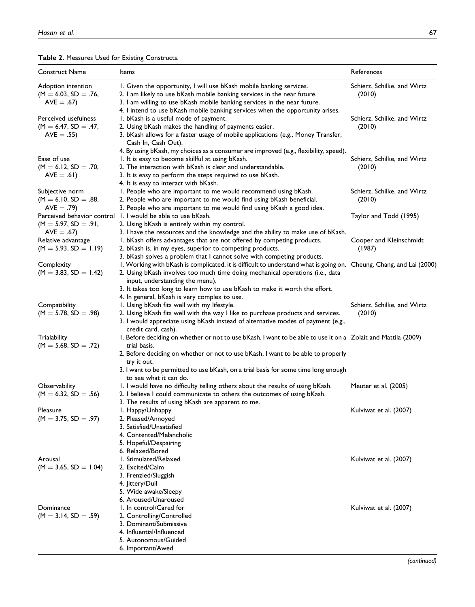Table 2. Measures Used for Existing Constructs.

| <b>Construct Name</b>                                        | Items                                                                                                                                                                                                                                                                                                             | References                            |
|--------------------------------------------------------------|-------------------------------------------------------------------------------------------------------------------------------------------------------------------------------------------------------------------------------------------------------------------------------------------------------------------|---------------------------------------|
| Adoption intention<br>$(M = 6.03, SD = .76,$                 | I. Given the opportunity, I will use bKash mobile banking services.<br>2. I am likely to use bKash mobile banking services in the near future.                                                                                                                                                                    | Schierz, Schilke, and Wirtz<br>(2010) |
| $AVE = .67$<br>Perceived usefulness                          | 3. I am willing to use bKash mobile banking services in the near future.<br>4. I intend to use bKash mobile banking services when the opportunity arises.<br>1. bKash is a useful mode of payment.                                                                                                                | Schierz, Schilke, and Wirtz           |
| $(M = 6.47, SD = .47,$<br>$AVE = .55$                        | 2. Using bKash makes the handling of payments easier.<br>3. bKash allows for a faster usage of mobile applications (e.g., Money Transfer,<br>Cash In, Cash Out).                                                                                                                                                  | (2010)                                |
| Ease of use                                                  | 4. By using bKash, my choices as a consumer are improved (e.g., flexibility, speed).<br>1. It is easy to become skillful at using bKash.                                                                                                                                                                          | Schierz, Schilke, and Wirtz           |
| $(M = 6.12, SD = .70,$<br>$AVE = .61$                        | 2. The interaction with bKash is clear and understandable.<br>3. It is easy to perform the steps required to use bKash.<br>4. It is easy to interact with bKash.                                                                                                                                                  | (2010)                                |
| Subjective norm<br>$(M = 6.10, SD = .88,$<br>$AVE = .79$     | I. People who are important to me would recommend using bKash.<br>2. People who are important to me would find using bKash beneficial.<br>3. People who are important to me would find using bKash a good idea.                                                                                                   | Schierz, Schilke, and Wirtz<br>(2010) |
| $(M = 5.97, SD = .91,$                                       | Perceived behavior control 1.1 would be able to use bKash.<br>2. Using bKash is entirely within my control.                                                                                                                                                                                                       | Taylor and Todd (1995)                |
| $AVE = .67$<br>Relative advantage<br>$(M = 5.93, SD = 1.19)$ | 3. I have the resources and the knowledge and the ability to make use of bKash.<br>I. bKash offers advantages that are not offered by competing products.<br>2. bKash is, in my eyes, superior to competing products.                                                                                             | Cooper and Kleinschmidt<br>(1987)     |
| Complexity<br>$(M = 3.83, SD = 1.42)$                        | 3. bKash solves a problem that I cannot solve with competing products.<br>I. Working with bKash is complicated, it is difficult to understand what is going on. Cheung, Chang, and Lai (2000)<br>2. Using bKash involves too much time doing mechanical operations (i.e., data<br>input, understanding the menu). |                                       |
| Compatibility                                                | 3. It takes too long to learn how to use bKash to make it worth the effort.<br>4. In general, bKash is very complex to use.<br>1. Using bKash fits well with my lifestyle.                                                                                                                                        | Schierz, Schilke, and Wirtz           |
| $(M = 5.78, SD = .98)$                                       | 2. Using bKash fits well with the way I like to purchase products and services.<br>3. I would appreciate using bKash instead of alternative modes of payment (e.g.,                                                                                                                                               | (2010)                                |
| Trialability<br>$(M = 5.68, SD = .72)$                       | credit card, cash).<br>1. Before deciding on whether or not to use bKash, I want to be able to use it on a Zolait and Mattila (2009)<br>trial basis.                                                                                                                                                              |                                       |
|                                                              | 2. Before deciding on whether or not to use bKash, I want to be able to properly<br>try it out.<br>3. I want to be permitted to use bKash, on a trial basis for some time long enough                                                                                                                             |                                       |
| Observability<br>$(M = 6.32, SD = .56)$                      | to see what it can do.<br>1. I would have no difficulty telling others about the results of using bKash.<br>2. I believe I could communicate to others the outcomes of using bKash.                                                                                                                               | Meuter et al. (2005)                  |
| Pleasure<br>$(M = 3.75, SD = .97)$                           | 3. The results of using bKash are apparent to me.<br>I. Happy/Unhappy<br>2. Pleased/Annoyed                                                                                                                                                                                                                       | Kulviwat et al. (2007)                |
|                                                              | 3. Satisfied/Unsatisfied<br>4. Contented/Melancholic<br>5. Hopeful/Despairing                                                                                                                                                                                                                                     |                                       |
| Arousal<br>$(M = 3.65, SD = 1.04)$                           | 6. Relaxed/Bored<br>1. Stimulated/Relaxed<br>2. Excited/Calm                                                                                                                                                                                                                                                      | Kulviwat et al. (2007)                |
|                                                              | 3. Frenzied/Sluggish<br>4. Jittery/Dull<br>5. Wide awake/Sleepy                                                                                                                                                                                                                                                   |                                       |
| Dominance<br>$(M = 3.14, SD = .59)$                          | 6. Aroused/Unaroused<br>I. In control/Cared for<br>2. Controlling/Controlled                                                                                                                                                                                                                                      | Kulviwat et al. (2007)                |
|                                                              | 3. Dominant/Submissive<br>4. Influential/Influenced                                                                                                                                                                                                                                                               |                                       |
|                                                              | 5. Autonomous/Guided<br>6. Important/Awed                                                                                                                                                                                                                                                                         |                                       |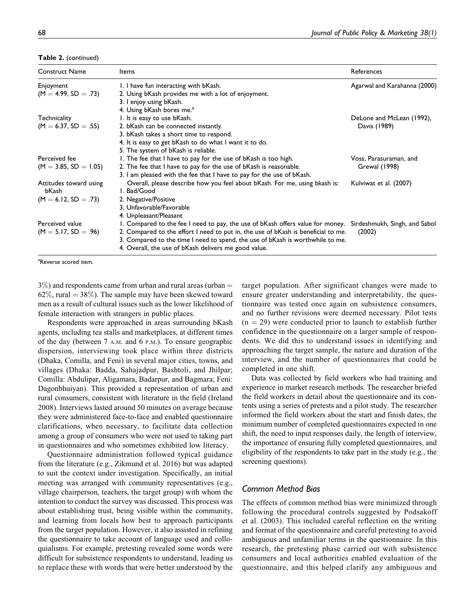| <b>Table 2.</b> (continued)         |                                                                                                                      |            |
|-------------------------------------|----------------------------------------------------------------------------------------------------------------------|------------|
| Construct Name                      | Items                                                                                                                | References |
| Enjoyment<br>$(M = 4.99, SD = .73)$ | 1. I have fun interacting with bKash.<br>2. Using bKash provides me with a lot of enjoyment.<br>3 Leniov using hKash | Agarwal an |

T<sub>a</sub>

| Enjoyment               | 1. I have fun interacting with bKash.                                                                        | Agarwal and Karahanna (2000) |
|-------------------------|--------------------------------------------------------------------------------------------------------------|------------------------------|
| $(M = 4.99, SD = .73)$  | 2. Using bKash provides me with a lot of enjoyment.                                                          |                              |
|                         | 3. I enjoy using bKash.                                                                                      |                              |
|                         | 4. Using bKash bores me. <sup>a</sup>                                                                        |                              |
| Technicality            | 1. It is easy to use bKash.                                                                                  | DeLone and McLean (1992),    |
| $(M = 6.37, SD = .55)$  | 2. bKash can be connected instantly.                                                                         | Davis (1989)                 |
|                         | 3. bKash takes a short time to respond.                                                                      |                              |
|                         | 4. It is easy to get bKash to do what I want it to do.                                                       |                              |
|                         | 5. The system of bKash is reliable.                                                                          |                              |
| Perceived fee           | I. The fee that I have to pay for the use of bKash is too high.                                              | Voss, Parasuraman, and       |
| $(M = 3.85, SD = 1.05)$ | 2. The fee that I have to pay for the use of bKash is reasonable.                                            | Grewal (1998)                |
|                         | 3. I am pleased with the fee that I have to pay for the use of bKash.                                        |                              |
| Attitudes toward using  | Overall, please describe how you feel about bKash. For me, using bkash is:                                   | Kulviwat et al. (2007)       |
| bKash                   | I. Bad/Good                                                                                                  |                              |
| $(M = 6.12, SD = .73)$  | 2. Negative/Positive                                                                                         |                              |
|                         | 3. Unfavorable/Favorable                                                                                     |                              |
|                         | 4. Unpleasant/Pleasant                                                                                       |                              |
| Perceived value         | 1. Compared to the fee I need to pay, the use of bKash offers value for money. Sirdeshmukh, Singh, and Sabol |                              |
| $(M = 5.17, SD = .96)$  | 2. Compared to the effort I need to put in, the use of bKash is beneficial to me.                            | (2002)                       |
|                         | 3. Compared to the time I need to spend, the use of bKash is worthwhile to me.                               |                              |
|                         | 4. Overall, the use of bKash delivers me good value.                                                         |                              |

<sup>a</sup>Reverse scored item.

 $3\%$ ) and respondents came from urban and rural areas (urban  $=$ 62%, rural  $=$  38%). The sample may have been skewed toward men as a result of cultural issues such as the lower likelihood of female interaction with strangers in public places.

Respondents were approached in areas surrounding bKash agents, including tea stalls and marketplaces, at different times of the day (between 7 <sup>A</sup>.M. and 6 <sup>P</sup>.M.). To ensure geographic dispersion, interviewing took place within three districts (Dhaka, Comilla, and Feni) in several major cities, towns, and villages (Dhaka: Badda, Sahajadpur, Bashtoli, and Jhilpar; Comilla: Abdulipar, Aligamara, Badarpur, and Bagmara; Feni: Dagonbhuiyan). This provided a representation of urban and rural consumers, consistent with literature in the field (Ireland 2008). Interviews lasted around 50 minutes on average because they were administered face-to-face and enabled questionnaire clarifications, when necessary, to facilitate data collection among a group of consumers who were not used to taking part in questionnaires and who sometimes exhibited low literacy.

Questionnaire administration followed typical guidance from the literature (e.g., Zikmund et al. 2016) but was adapted to suit the context under investigation. Specifically, an initial meeting was arranged with community representatives (e.g., village chairperson, teachers, the target group) with whom the intention to conduct the survey was discussed. This process was about establishing trust, being visible within the community, and learning from locals how best to approach participants from the target population. However, it also assisted in refining the questionnaire to take account of language used and colloquialisms. For example, pretesting revealed some words were difficult for subsistence respondents to understand, leading us to replace these with words that were better understood by the target population. After significant changes were made to ensure greater understanding and interpretability, the questionnaire was tested once again on subsistence consumers, and no further revisions were deemed necessary. Pilot tests  $(n = 29)$  were conducted prior to launch to establish further confidence in the questionnaire on a larger sample of respondents. We did this to understand issues in identifying and approaching the target sample, the nature and duration of the interview, and the number of questionnaires that could be completed in one shift.

Data was collected by field workers who had training and experience in market research methods. The researcher briefed the field workers in detail about the questionnaire and its contents using a series of pretests and a pilot study. The researcher informed the field workers about the start and finish dates, the minimum number of completed questionnaires expected in one shift, the need to input responses daily, the length of interview, the importance of ensuring fully completed questionnaires, and eligibility of the respondents to take part in the study (e.g., the screening questions).

# *Common Method Bias*

The effects of common method bias were minimized through following the procedural controls suggested by Podsakoff et al. (2003). This included careful reflection on the writing and format of the questionnaire and careful pretesting to avoid ambiguous and unfamiliar terms in the questionnaire. In this research, the pretesting phase carried out with subsistence consumers and local authorities enabled evaluation of the questionnaire, and this helped clarify any ambiguous and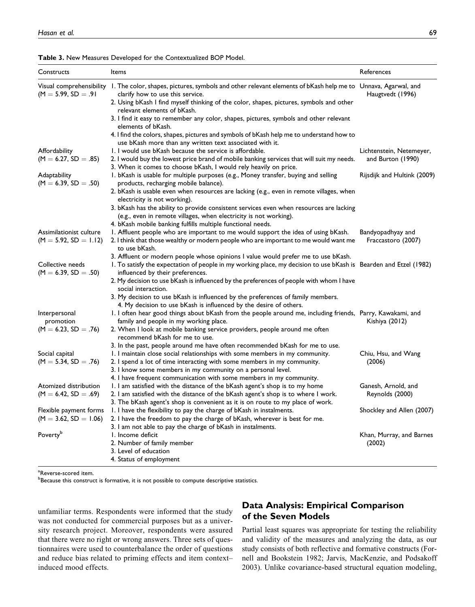| Constructs                             | Items                                                                                                                                                                                                                                                                | References                  |
|----------------------------------------|----------------------------------------------------------------------------------------------------------------------------------------------------------------------------------------------------------------------------------------------------------------------|-----------------------------|
| $(M = 5.99, SD = .91)$                 | Visual comprehensibility 1. The color, shapes, pictures, symbols and other relevant elements of bKash help me to Unnava, Agarwal, and<br>clarify how to use this service.<br>2. Using bKash I find myself thinking of the color, shapes, pictures, symbols and other | Haugtvedt (1996)            |
|                                        | relevant elements of bKash.                                                                                                                                                                                                                                          |                             |
|                                        | 3. I find it easy to remember any color, shapes, pictures, symbols and other relevant<br>elements of bKash.                                                                                                                                                          |                             |
|                                        | 4. I find the colors, shapes, pictures and symbols of bKash help me to understand how to<br>use bKash more than any written text associated with it.                                                                                                                 |                             |
| Affordability                          | 1. I would use bKash because the service is affordable.                                                                                                                                                                                                              | Lichtenstein, Netemeyer,    |
| $(M = 6.27, SD = .85)$                 | 2. I would buy the lowest price brand of mobile banking services that will suit my needs.                                                                                                                                                                            | and Burton (1990)           |
|                                        | 3. When it comes to choose bKash, I would rely heavily on price.                                                                                                                                                                                                     |                             |
| Adaptability<br>$(M = 6.39, SD = .50)$ | 1. bKash is usable for multiple purposes (e.g., Money transfer, buying and selling<br>products, recharging mobile balance).                                                                                                                                          | Rijsdijk and Hultink (2009) |
|                                        | 2. bKash is usable even when resources are lacking (e.g., even in remote villages, when                                                                                                                                                                              |                             |
|                                        | electricity is not working).                                                                                                                                                                                                                                         |                             |
|                                        | 3. bKash has the ability to provide consistent services even when resources are lacking                                                                                                                                                                              |                             |
|                                        | (e.g., even in remote villages, when electricity is not working).                                                                                                                                                                                                    |                             |
|                                        | 4. bKash mobile banking fulfills multiple functional needs.                                                                                                                                                                                                          |                             |
| Assimilationist culture                | 1. Affluent people who are important to me would support the idea of using bKash.                                                                                                                                                                                    | Bandyopadhyay and           |
| $(M = 5.92, SD = 1.12)$                | 2. I think that those wealthy or modern people who are important to me would want me<br>to use bKash.                                                                                                                                                                | Fraccastoro (2007)          |
| Collective needs                       | 3. Affluent or modern people whose opinions I value would prefer me to use bKash.                                                                                                                                                                                    |                             |
| $(M = 6.39, SD = .50)$                 | 1. To satisfy the expectation of people in my working place, my decision to use bKash is Bearden and Etzel (1982)<br>influenced by their preferences.                                                                                                                |                             |
|                                        | 2. My decision to use bKash is influenced by the preferences of people with whom I have<br>social interaction.                                                                                                                                                       |                             |
|                                        | 3. My decision to use bKash is influenced by the preferences of family members.<br>4. My decision to use bKash is influenced by the desire of others.                                                                                                                |                             |
| Interpersonal<br>promotion             | 1. I often hear good things about bKash from the people around me, including friends, Parry, Kawakami, and<br>family and people in my working place.                                                                                                                 | Kishiya (2012)              |
| $(M = 6.23, SD = .76)$                 | 2. When I look at mobile banking service providers, people around me often<br>recommend bKash for me to use.                                                                                                                                                         |                             |
|                                        | 3. In the past, people around me have often recommended bKash for me to use.                                                                                                                                                                                         |                             |
| Social capital                         | 1. I maintain close social relationships with some members in my community.                                                                                                                                                                                          | Chiu, Hsu, and Wang         |
| $(M = 5.34, SD = .76)$                 | 2. I spend a lot of time interacting with some members in my community.                                                                                                                                                                                              | (2006)                      |
|                                        | 3. I know some members in my community on a personal level.                                                                                                                                                                                                          |                             |
| Atomized distribution                  | 4. I have frequent communication with some members in my community.                                                                                                                                                                                                  | Ganesh, Arnold, and         |
| $(M = 6.42, SD = .69)$                 | 1. I am satisfied with the distance of the bKash agent's shop is to my home<br>2. I am satisfied with the distance of the bKash agent's shop is to where I work.                                                                                                     | Reynolds (2000)             |
|                                        | 3. The bKash agent's shop is convenient as it is on route to my place of work.                                                                                                                                                                                       |                             |
| Flexible payment forms                 | 1. I have the flexibility to pay the charge of bKash in instalments.                                                                                                                                                                                                 | Shockley and Allen (2007)   |
| $(M = 3.62, SD = 1.06)$                | 2. I have the freedom to pay the charge of bKash, wherever is best for me.                                                                                                                                                                                           |                             |
|                                        | 3. I am not able to pay the charge of bKash in instalments.                                                                                                                                                                                                          |                             |
| Poverty <sup>p</sup>                   | I. Income deficit                                                                                                                                                                                                                                                    | Khan, Murray, and Barnes    |
|                                        | 2. Number of family member                                                                                                                                                                                                                                           | (2002)                      |
|                                        | 3. Level of education                                                                                                                                                                                                                                                |                             |
|                                        | 4. Status of employment                                                                                                                                                                                                                                              |                             |

<sup>a</sup>Reverse-scored item.

**Because this construct is formative, it is not possible to compute descriptive statistics.** 

unfamiliar terms. Respondents were informed that the study was not conducted for commercial purposes but as a university research project. Moreover, respondents were assured that there were no right or wrong answers. Three sets of questionnaires were used to counterbalance the order of questions and reduce bias related to priming effects and item context– induced mood effects.

# Data Analysis: Empirical Comparison of the Seven Models

Partial least squares was appropriate for testing the reliability and validity of the measures and analyzing the data, as our study consists of both reflective and formative constructs (Fornell and Bookstein 1982; Jarvis, MacKenzie, and Podsakoff 2003). Unlike covariance-based structural equation modeling,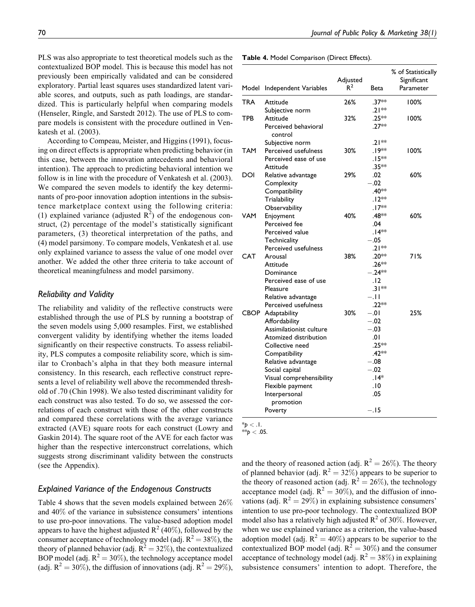PLS was also appropriate to test theoretical models such as the contextualized BOP model. This is because this model has not previously been empirically validated and can be considered exploratory. Partial least squares uses standardized latent variable scores, and outputs, such as path loadings, are standardized. This is particularly helpful when comparing models (Henseler, Ringle, and Sarstedt 2012). The use of PLS to compare models is consistent with the procedure outlined in Venkatesh et al. (2003).

According to Compeau, Meister, and Higgins (1991), focusing on direct effects is appropriate when predicting behavior (in this case, between the innovation antecedents and behavioral intention). The approach to predicting behavioral intention we follow is in line with the procedure of Venkatesh et al. (2003). We compared the seven models to identify the key determinants of pro-poor innovation adoption intentions in the subsistence marketplace context using the following criteria: (1) explained variance (adjusted  $\overline{R^2}$ ) of the endogenous construct, (2) percentage of the model's statistically significant parameters, (3) theoretical interpretation of the paths, and (4) model parsimony. To compare models, Venkatesh et al. use only explained variance to assess the value of one model over another. We added the other three criteria to take account of theoretical meaningfulness and model parsimony.

### *Reliability and Validity*

The reliability and validity of the reflective constructs were established through the use of PLS by running a bootstrap of the seven models using 5,000 resamples. First, we established convergent validity by identifying whether the items loaded significantly on their respective constructs. To assess reliability, PLS computes a composite reliability score, which is similar to Cronbach's alpha in that they both measure internal consistency. In this research, each reflective construct represents a level of reliability well above the recommended threshold of .70 (Chin 1998). We also tested discriminant validity for each construct was also tested. To do so, we assessed the correlations of each construct with those of the other constructs and compared these correlations with the average variance extracted (AVE) square roots for each construct (Lowry and Gaskin 2014). The square root of the AVE for each factor was higher than the respective interconstruct correlations, which suggests strong discriminant validity between the constructs (see the Appendix).

# *Explained Variance of the Endogenous Constructs*

Table 4 shows that the seven models explained between 26% and 40% of the variance in subsistence consumers' intentions to use pro-poor innovations. The value-based adoption model appears to have the highest adjusted  $R^2$  (40%), followed by the consumer acceptance of technology model (adj.  $R^2 = 38\%$ ), the theory of planned behavior (adj.  $R^2 = 32\%$ ), the contextualized BOP model (adj.  $R^2 = 30\%$ ), the technology acceptance model (adj.  $R^2 = 30\%$ ), the diffusion of innovations (adj.  $R^2 = 29\%$ ),

| Table 4. Model Comparison (Direct Effects). |  |  |  |  |
|---------------------------------------------|--|--|--|--|
|---------------------------------------------|--|--|--|--|

| <b>TRA</b><br>26%<br>$.37**$<br>100%<br>Attitude<br>$.21**$<br>Subjective norm<br>TPB<br>Attitude<br>32%<br>$25**$<br>100%<br>Perceived behavioral<br>.27**<br>control<br>$.21**$<br>Subjective norm<br>Perceived usefulness<br>30%<br>.19**<br>TAM<br>100%<br>Perceived ease of use<br>$.15***$<br>.35**<br>Attitude<br>29%<br>.02<br>60%<br>DOI<br>Relative advantage<br>$-.02$<br>Complexity<br>Compatibility<br>.40 <sup>*</sup><br>Trialability<br>.12**<br>$.17**$<br>Observability<br>VAM<br>40%<br>.48**<br>Enjoyment<br>60%<br>Perceived fee<br>.04<br>.∣4**<br>Perceived value<br>$-.05$<br>Technicality<br><b>Perceived usefulness</b><br>$.21**$<br><b>CAT</b><br>38%<br>.20**<br>71%<br>Arousal<br>$.26**$<br>Attitude<br>$-.24**$<br>Dominance<br>Perceived ease of use<br>.12<br>$.31**$<br>Pleasure<br>Relative advantage<br>–.II<br>Perceived usefulness<br>$.22**$<br>30%<br>25%<br>CBOP Adaptability<br>$-0.01$<br>Affordability<br>$-.02$<br>Assimilationist culture<br>$-.03$<br>Atomized distribution<br>0١.<br>$.25**$<br>Collective need<br>$.42**$<br>Compatibility<br>Relative advantage<br>$-.08$<br>$-.02$<br>Social capital<br>.14*<br>Visual comprehensibility<br>.10<br>Flexible payment<br>.05<br>Interpersonal<br>promotion<br>$-.15$<br>Poverty | Model Independent Variables | Adjusted<br>$R^2$ | Beta | % of Statistically<br>Significant<br>Parameter |
|-----------------------------------------------------------------------------------------------------------------------------------------------------------------------------------------------------------------------------------------------------------------------------------------------------------------------------------------------------------------------------------------------------------------------------------------------------------------------------------------------------------------------------------------------------------------------------------------------------------------------------------------------------------------------------------------------------------------------------------------------------------------------------------------------------------------------------------------------------------------------------------------------------------------------------------------------------------------------------------------------------------------------------------------------------------------------------------------------------------------------------------------------------------------------------------------------------------------------------------------------------------------------------------|-----------------------------|-------------------|------|------------------------------------------------|
|                                                                                                                                                                                                                                                                                                                                                                                                                                                                                                                                                                                                                                                                                                                                                                                                                                                                                                                                                                                                                                                                                                                                                                                                                                                                                   |                             |                   |      |                                                |
|                                                                                                                                                                                                                                                                                                                                                                                                                                                                                                                                                                                                                                                                                                                                                                                                                                                                                                                                                                                                                                                                                                                                                                                                                                                                                   |                             |                   |      |                                                |
|                                                                                                                                                                                                                                                                                                                                                                                                                                                                                                                                                                                                                                                                                                                                                                                                                                                                                                                                                                                                                                                                                                                                                                                                                                                                                   |                             |                   |      |                                                |
|                                                                                                                                                                                                                                                                                                                                                                                                                                                                                                                                                                                                                                                                                                                                                                                                                                                                                                                                                                                                                                                                                                                                                                                                                                                                                   |                             |                   |      |                                                |
|                                                                                                                                                                                                                                                                                                                                                                                                                                                                                                                                                                                                                                                                                                                                                                                                                                                                                                                                                                                                                                                                                                                                                                                                                                                                                   |                             |                   |      |                                                |
|                                                                                                                                                                                                                                                                                                                                                                                                                                                                                                                                                                                                                                                                                                                                                                                                                                                                                                                                                                                                                                                                                                                                                                                                                                                                                   |                             |                   |      |                                                |
|                                                                                                                                                                                                                                                                                                                                                                                                                                                                                                                                                                                                                                                                                                                                                                                                                                                                                                                                                                                                                                                                                                                                                                                                                                                                                   |                             |                   |      |                                                |
|                                                                                                                                                                                                                                                                                                                                                                                                                                                                                                                                                                                                                                                                                                                                                                                                                                                                                                                                                                                                                                                                                                                                                                                                                                                                                   |                             |                   |      |                                                |
|                                                                                                                                                                                                                                                                                                                                                                                                                                                                                                                                                                                                                                                                                                                                                                                                                                                                                                                                                                                                                                                                                                                                                                                                                                                                                   |                             |                   |      |                                                |
|                                                                                                                                                                                                                                                                                                                                                                                                                                                                                                                                                                                                                                                                                                                                                                                                                                                                                                                                                                                                                                                                                                                                                                                                                                                                                   |                             |                   |      |                                                |
|                                                                                                                                                                                                                                                                                                                                                                                                                                                                                                                                                                                                                                                                                                                                                                                                                                                                                                                                                                                                                                                                                                                                                                                                                                                                                   |                             |                   |      |                                                |
|                                                                                                                                                                                                                                                                                                                                                                                                                                                                                                                                                                                                                                                                                                                                                                                                                                                                                                                                                                                                                                                                                                                                                                                                                                                                                   |                             |                   |      |                                                |
|                                                                                                                                                                                                                                                                                                                                                                                                                                                                                                                                                                                                                                                                                                                                                                                                                                                                                                                                                                                                                                                                                                                                                                                                                                                                                   |                             |                   |      |                                                |
|                                                                                                                                                                                                                                                                                                                                                                                                                                                                                                                                                                                                                                                                                                                                                                                                                                                                                                                                                                                                                                                                                                                                                                                                                                                                                   |                             |                   |      |                                                |
|                                                                                                                                                                                                                                                                                                                                                                                                                                                                                                                                                                                                                                                                                                                                                                                                                                                                                                                                                                                                                                                                                                                                                                                                                                                                                   |                             |                   |      |                                                |
|                                                                                                                                                                                                                                                                                                                                                                                                                                                                                                                                                                                                                                                                                                                                                                                                                                                                                                                                                                                                                                                                                                                                                                                                                                                                                   |                             |                   |      |                                                |
|                                                                                                                                                                                                                                                                                                                                                                                                                                                                                                                                                                                                                                                                                                                                                                                                                                                                                                                                                                                                                                                                                                                                                                                                                                                                                   |                             |                   |      |                                                |
|                                                                                                                                                                                                                                                                                                                                                                                                                                                                                                                                                                                                                                                                                                                                                                                                                                                                                                                                                                                                                                                                                                                                                                                                                                                                                   |                             |                   |      |                                                |
|                                                                                                                                                                                                                                                                                                                                                                                                                                                                                                                                                                                                                                                                                                                                                                                                                                                                                                                                                                                                                                                                                                                                                                                                                                                                                   |                             |                   |      |                                                |
|                                                                                                                                                                                                                                                                                                                                                                                                                                                                                                                                                                                                                                                                                                                                                                                                                                                                                                                                                                                                                                                                                                                                                                                                                                                                                   |                             |                   |      |                                                |
|                                                                                                                                                                                                                                                                                                                                                                                                                                                                                                                                                                                                                                                                                                                                                                                                                                                                                                                                                                                                                                                                                                                                                                                                                                                                                   |                             |                   |      |                                                |
|                                                                                                                                                                                                                                                                                                                                                                                                                                                                                                                                                                                                                                                                                                                                                                                                                                                                                                                                                                                                                                                                                                                                                                                                                                                                                   |                             |                   |      |                                                |
|                                                                                                                                                                                                                                                                                                                                                                                                                                                                                                                                                                                                                                                                                                                                                                                                                                                                                                                                                                                                                                                                                                                                                                                                                                                                                   |                             |                   |      |                                                |
|                                                                                                                                                                                                                                                                                                                                                                                                                                                                                                                                                                                                                                                                                                                                                                                                                                                                                                                                                                                                                                                                                                                                                                                                                                                                                   |                             |                   |      |                                                |
|                                                                                                                                                                                                                                                                                                                                                                                                                                                                                                                                                                                                                                                                                                                                                                                                                                                                                                                                                                                                                                                                                                                                                                                                                                                                                   |                             |                   |      |                                                |
|                                                                                                                                                                                                                                                                                                                                                                                                                                                                                                                                                                                                                                                                                                                                                                                                                                                                                                                                                                                                                                                                                                                                                                                                                                                                                   |                             |                   |      |                                                |
|                                                                                                                                                                                                                                                                                                                                                                                                                                                                                                                                                                                                                                                                                                                                                                                                                                                                                                                                                                                                                                                                                                                                                                                                                                                                                   |                             |                   |      |                                                |
|                                                                                                                                                                                                                                                                                                                                                                                                                                                                                                                                                                                                                                                                                                                                                                                                                                                                                                                                                                                                                                                                                                                                                                                                                                                                                   |                             |                   |      |                                                |
|                                                                                                                                                                                                                                                                                                                                                                                                                                                                                                                                                                                                                                                                                                                                                                                                                                                                                                                                                                                                                                                                                                                                                                                                                                                                                   |                             |                   |      |                                                |
|                                                                                                                                                                                                                                                                                                                                                                                                                                                                                                                                                                                                                                                                                                                                                                                                                                                                                                                                                                                                                                                                                                                                                                                                                                                                                   |                             |                   |      |                                                |
|                                                                                                                                                                                                                                                                                                                                                                                                                                                                                                                                                                                                                                                                                                                                                                                                                                                                                                                                                                                                                                                                                                                                                                                                                                                                                   |                             |                   |      |                                                |
|                                                                                                                                                                                                                                                                                                                                                                                                                                                                                                                                                                                                                                                                                                                                                                                                                                                                                                                                                                                                                                                                                                                                                                                                                                                                                   |                             |                   |      |                                                |
|                                                                                                                                                                                                                                                                                                                                                                                                                                                                                                                                                                                                                                                                                                                                                                                                                                                                                                                                                                                                                                                                                                                                                                                                                                                                                   |                             |                   |      |                                                |
|                                                                                                                                                                                                                                                                                                                                                                                                                                                                                                                                                                                                                                                                                                                                                                                                                                                                                                                                                                                                                                                                                                                                                                                                                                                                                   |                             |                   |      |                                                |
|                                                                                                                                                                                                                                                                                                                                                                                                                                                                                                                                                                                                                                                                                                                                                                                                                                                                                                                                                                                                                                                                                                                                                                                                                                                                                   |                             |                   |      |                                                |
|                                                                                                                                                                                                                                                                                                                                                                                                                                                                                                                                                                                                                                                                                                                                                                                                                                                                                                                                                                                                                                                                                                                                                                                                                                                                                   |                             |                   |      |                                                |
|                                                                                                                                                                                                                                                                                                                                                                                                                                                                                                                                                                                                                                                                                                                                                                                                                                                                                                                                                                                                                                                                                                                                                                                                                                                                                   |                             |                   |      |                                                |
|                                                                                                                                                                                                                                                                                                                                                                                                                                                                                                                                                                                                                                                                                                                                                                                                                                                                                                                                                                                                                                                                                                                                                                                                                                                                                   |                             |                   |      |                                                |

\**p* < .1. \*\**p* < .05.

and the theory of reasoned action (adj.  $R^2 = 26\%$ ). The theory of planned behavior (adj.  $R^2 = 32\%$ ) appears to be superior to the theory of reasoned action (adj.  $R^2 = 26\%$ ), the technology acceptance model (adj.  $R^2 = 30\%$ ), and the diffusion of innovations (adj.  $R^2 = 29\%$ ) in explaining subsistence consumers' intention to use pro-poor technology. The contextualized BOP model also has a relatively high adjusted  $R^2$  of 30%. However, when we use explained variance as a criterion, the value-based adoption model (adj.  $R^2 = 40\%$ ) appears to be superior to the contextualized BOP model (adj.  $R^2 = 30\%$ ) and the consumer acceptance of technology model (adj.  $R^2 = 38\%$ ) in explaining subsistence consumers' intention to adopt. Therefore, the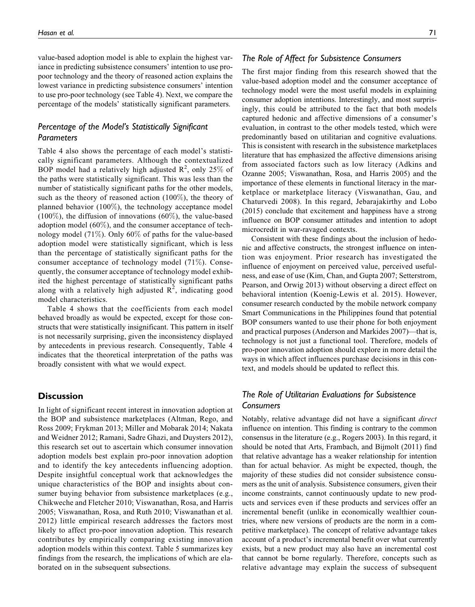value-based adoption model is able to explain the highest variance in predicting subsistence consumers' intention to use propoor technology and the theory of reasoned action explains the lowest variance in predicting subsistence consumers' intention to use pro-poor technology (see Table 4). Next, we compare the percentage of the models' statistically significant parameters.

# *Percentage of the Model's Statistically Significant Parameters*

Table 4 also shows the percentage of each model's statistically significant parameters. Although the contextualized BOP model had a relatively high adjusted  $\mathbb{R}^2$ , only 25% of the paths were statistically significant. This was less than the number of statistically significant paths for the other models, such as the theory of reasoned action (100%), the theory of planned behavior (100%), the technology acceptance model  $(100\%)$ , the diffusion of innovations  $(60\%)$ , the value-based adoption model (60%), and the consumer acceptance of technology model (71%). Only 60% of paths for the value-based adoption model were statistically significant, which is less than the percentage of statistically significant paths for the consumer acceptance of technology model (71%). Consequently, the consumer acceptance of technology model exhibited the highest percentage of statistically significant paths along with a relatively high adjusted  $R^2$ , indicating good model characteristics.

Table 4 shows that the coefficients from each model behaved broadly as would be expected, except for those constructs that were statistically insignificant. This pattern in itself is not necessarily surprising, given the inconsistency displayed by antecedents in previous research. Consequently, Table 4 indicates that the theoretical interpretation of the paths was broadly consistent with what we would expect.

# **Discussion**

In light of significant recent interest in innovation adoption at the BOP and subsistence marketplaces (Altman, Rego, and Ross 2009; Frykman 2013; Miller and Mobarak 2014; Nakata and Weidner 2012; Ramani, Sadre Ghazi, and Duysters 2012), this research set out to ascertain which consumer innovation adoption models best explain pro-poor innovation adoption and to identify the key antecedents influencing adoption. Despite insightful conceptual work that acknowledges the unique characteristics of the BOP and insights about consumer buying behavior from subsistence marketplaces (e.g., Chikweche and Fletcher 2010; Viswanathan, Rosa, and Harris 2005; Viswanathan, Rosa, and Ruth 2010; Viswanathan et al. 2012) little empirical research addresses the factors most likely to affect pro-poor innovation adoption. This research contributes by empirically comparing existing innovation adoption models within this context. Table 5 summarizes key findings from the research, the implications of which are elaborated on in the subsequent subsections.

# *The Role of Affect for Subsistence Consumers*

The first major finding from this research showed that the value-based adoption model and the consumer acceptance of technology model were the most useful models in explaining consumer adoption intentions. Interestingly, and most surprisingly, this could be attributed to the fact that both models captured hedonic and affective dimensions of a consumer's evaluation, in contrast to the other models tested, which were predominantly based on utilitarian and cognitive evaluations. This is consistent with research in the subsistence marketplaces literature that has emphasized the affective dimensions arising from associated factors such as low literacy (Adkins and Ozanne 2005; Viswanathan, Rosa, and Harris 2005) and the importance of these elements in functional literacy in the marketplace or marketplace literacy (Viswanathan, Gau, and Chaturvedi 2008). In this regard, Jebarajakirthy and Lobo (2015) conclude that excitement and happiness have a strong influence on BOP consumer attitudes and intention to adopt microcredit in war-ravaged contexts.

Consistent with these findings about the inclusion of hedonic and affective constructs, the strongest influence on intention was enjoyment. Prior research has investigated the influence of enjoyment on perceived value, perceived usefulness, and ease of use (Kim, Chan, and Gupta 2007; Setterstrom, Pearson, and Orwig 2013) without observing a direct effect on behavioral intention (Koenig-Lewis et al. 2015). However, consumer research conducted by the mobile network company Smart Communications in the Philippines found that potential BOP consumers wanted to use their phone for both enjoyment and practical purposes (Anderson and Markides 2007)—that is, technology is not just a functional tool. Therefore, models of pro-poor innovation adoption should explore in more detail the ways in which affect influences purchase decisions in this context, and models should be updated to reflect this.

# *The Role of Utilitarian Evaluations for Subsistence Consumers*

Notably, relative advantage did not have a significant *direct* influence on intention. This finding is contrary to the common consensus in the literature (e.g., Rogers 2003). In this regard, it should be noted that Arts, Frambach, and Bijmolt (2011) find that relative advantage has a weaker relationship for intention than for actual behavior. As might be expected, though, the majority of these studies did not consider subsistence consumers as the unit of analysis. Subsistence consumers, given their income constraints, cannot continuously update to new products and services even if these products and services offer an incremental benefit (unlike in economically wealthier countries, where new versions of products are the norm in a competitive marketplace). The concept of relative advantage takes account of a product's incremental benefit over what currently exists, but a new product may also have an incremental cost that cannot be borne regularly. Therefore, concepts such as relative advantage may explain the success of subsequent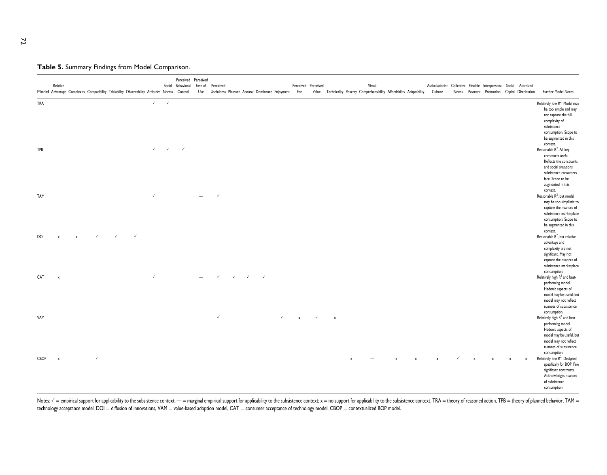#### Table 5. Summary Findings from Model Comparison.

|             | Relative                  |              |              |              | Model Advantage Complexity Compatibility Trialability Observability Attitudes Norms Control |              |                               | Perceived Perceived<br>Social Behavioral | Use | Ease of Perceived |                           | Usefulness Pleasure Arousal Dominance Enjoyment Fee | Perceived Perceived |              |             |                           | Visual | Value Technicality Poverty Comprehensibility Affordability Adaptability |              | Culture |  | Assimilationist Collective Flexible Interpersonal Social Atomized<br>Needs Payment Promotion Capital Distribution | Further Model Notes                                                                                                                                                                           |
|-------------|---------------------------|--------------|--------------|--------------|---------------------------------------------------------------------------------------------|--------------|-------------------------------|------------------------------------------|-----|-------------------|---------------------------|-----------------------------------------------------|---------------------|--------------|-------------|---------------------------|--------|-------------------------------------------------------------------------|--------------|---------|--|-------------------------------------------------------------------------------------------------------------------|-----------------------------------------------------------------------------------------------------------------------------------------------------------------------------------------------|
| TRA         |                           |              |              |              |                                                                                             | $\checkmark$ | $\checkmark$                  |                                          |     |                   |                           |                                                     |                     |              |             |                           |        |                                                                         |              |         |  |                                                                                                                   | Relatively low R <sup>2</sup> . Model may<br>be too simple and may<br>not capture the full<br>complexity of<br>subsistence<br>consumption. Scope to<br>be augmented in this                   |
| TPB         |                           |              |              |              |                                                                                             | $\checkmark$ | $\checkmark$ and $\checkmark$ |                                          |     |                   |                           |                                                     |                     |              |             |                           |        |                                                                         |              |         |  |                                                                                                                   | context.<br>Reasonable R <sup>2</sup> . All key<br>constructs useful.<br>Reflects the constraints<br>and social situations<br>subsistence consumers<br>face. Scope to be<br>augmented in this |
| TAM         |                           |              |              |              |                                                                                             | $\checkmark$ |                               |                                          |     | $\checkmark$      |                           |                                                     |                     |              |             |                           |        |                                                                         |              |         |  |                                                                                                                   | context.<br>Reasonable $R^2$ , but model<br>may be too simplistic to<br>capture the nuances of<br>subsistence marketplace<br>consumption. Scope to<br>be augmented in this                    |
| <b>DOI</b>  | $\mathbf{x}$              | $\pmb{\chi}$ | $\checkmark$ | $\checkmark$ | $\checkmark$                                                                                |              |                               |                                          |     |                   |                           |                                                     |                     |              |             |                           |        |                                                                         |              |         |  |                                                                                                                   | context.<br>Reasonable $R^2$ , but relative<br>advantage and<br>complexity are not<br>significant. May not<br>capture the nuances of<br>subsistence marketplace                               |
| CAT         | $\boldsymbol{\mathsf{x}}$ |              |              |              |                                                                                             | $\checkmark$ |                               |                                          |     | $\checkmark$      | $\checkmark$ $\checkmark$ | $\checkmark$                                        |                     |              |             |                           |        |                                                                         |              |         |  |                                                                                                                   | consumption.<br>Relatively high R <sup>2</sup> and best-<br>performing model.<br>Hedonic aspects of<br>model may be useful, but<br>model may not reflect<br>nuances of subsistence            |
| VAM         |                           |              |              |              |                                                                                             |              |                               |                                          |     | $\checkmark$      |                           | $\checkmark$                                        | $\mathsf{x}$        | $\checkmark$ | $\mathbf x$ |                           |        |                                                                         |              |         |  |                                                                                                                   | consumption.<br>Relatively high R <sup>2</sup> and best-<br>performing model.<br>Hedonic aspects of<br>model may be useful, but<br>model may not reflect<br>nuances of subsistence            |
| <b>CBOP</b> | $\mathbf{x}$              |              | $\checkmark$ |              |                                                                                             |              |                               |                                          |     |                   |                           |                                                     |                     |              |             | $\boldsymbol{\mathsf{x}}$ |        | $\boldsymbol{\mathsf{x}}$                                               | $\mathbf{x}$ |         |  | $\pmb{\mathsf{x}}$<br>$\mathbf{x}$                                                                                | consumption.<br>Relatively low R <sup>2</sup> . Designed<br>specifically for BOP. Few<br>significant constructs.<br>Acknowledges nuances<br>of subsistence<br>consumption                     |

Notes:  $\check{}=$  empirical support for applicability to the subsistence context; — = marginal empirical support for applicability to the subsistence context;  $x =$  no support for applicability to the subsistence context. TRA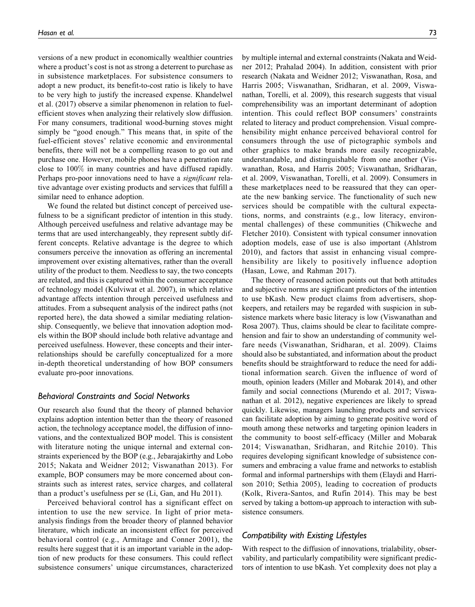versions of a new product in economically wealthier countries where a product's cost is not as strong a deterrent to purchase as in subsistence marketplaces. For subsistence consumers to adopt a new product, its benefit-to-cost ratio is likely to have to be very high to justify the increased expense. Khandelwel et al. (2017) observe a similar phenomenon in relation to fuelefficient stoves when analyzing their relatively slow diffusion. For many consumers, traditional wood-burning stoves might simply be "good enough." This means that, in spite of the fuel-efficient stoves' relative economic and environmental benefits, there will not be a compelling reason to go out and purchase one. However, mobile phones have a penetration rate close to 100% in many countries and have diffused rapidly. Perhaps pro-poor innovations need to have a *significant* relative advantage over existing products and services that fulfill a similar need to enhance adoption.

We found the related but distinct concept of perceived usefulness to be a significant predictor of intention in this study. Although perceived usefulness and relative advantage may be terms that are used interchangeably, they represent subtly different concepts. Relative advantage is the degree to which consumers perceive the innovation as offering an incremental improvement over existing alternatives, rather than the overall utility of the product to them. Needless to say, the two concepts are related, and this is captured within the consumer acceptance of technology model (Kulviwat et al. 2007), in which relative advantage affects intention through perceived usefulness and attitudes. From a subsequent analysis of the indirect paths (not reported here), the data showed a similar mediating relationship. Consequently, we believe that innovation adoption models within the BOP should include both relative advantage and perceived usefulness. However, these concepts and their interrelationships should be carefully conceptualized for a more in-depth theoretical understanding of how BOP consumers evaluate pro-poor innovations.

### *Behavioral Constraints and Social Networks*

Our research also found that the theory of planned behavior explains adoption intention better than the theory of reasoned action, the technology acceptance model, the diffusion of innovations, and the contextualized BOP model. This is consistent with literature noting the unique internal and external constraints experienced by the BOP (e.g., Jebarajakirthy and Lobo 2015; Nakata and Weidner 2012; Viswanathan 2013). For example, BOP consumers may be more concerned about constraints such as interest rates, service charges, and collateral than a product's usefulness per se (Li, Gan, and Hu 2011).

Perceived behavioral control has a significant effect on intention to use the new service. In light of prior metaanalysis findings from the broader theory of planned behavior literature, which indicate an inconsistent effect for perceived behavioral control (e.g., Armitage and Conner 2001), the results here suggest that it is an important variable in the adoption of new products for these consumers. This could reflect subsistence consumers' unique circumstances, characterized by multiple internal and external constraints (Nakata and Weidner 2012; Prahalad 2004). In addition, consistent with prior research (Nakata and Weidner 2012; Viswanathan, Rosa, and Harris 2005; Viswanathan, Sridharan, et al. 2009, Viswanathan, Torelli, et al. 2009), this research suggests that visual comprehensibility was an important determinant of adoption intention. This could reflect BOP consumers' constraints related to literacy and product comprehension. Visual comprehensibility might enhance perceived behavioral control for consumers through the use of pictographic symbols and other graphics to make brands more easily recognizable, understandable, and distinguishable from one another (Viswanathan, Rosa, and Harris 2005; Viswanathan, Sridharan, et al. 2009, Viswanathan, Torelli, et al. 2009). Consumers in these marketplaces need to be reassured that they can operate the new banking service. The functionality of such new services should be compatible with the cultural expectations, norms, and constraints (e.g., low literacy, environmental challenges) of these communities (Chikweche and Fletcher 2010). Consistent with typical consumer innovation adoption models, ease of use is also important (Ahlstrom 2010), and factors that assist in enhancing visual comprehensibility are likely to positively influence adoption (Hasan, Lowe, and Rahman 2017).

The theory of reasoned action points out that both attitudes and subjective norms are significant predictors of the intention to use bKash. New product claims from advertisers, shopkeepers, and retailers may be regarded with suspicion in subsistence markets where basic literacy is low (Viswanathan and Rosa 2007). Thus, claims should be clear to facilitate comprehension and fair to show an understanding of community welfare needs (Viswanathan, Sridharan, et al. 2009). Claims should also be substantiated, and information about the product benefits should be straightforward to reduce the need for additional information search. Given the influence of word of mouth, opinion leaders (Miller and Mobarak 2014), and other family and social connections (Murendo et al. 2017; Viswanathan et al. 2012), negative experiences are likely to spread quickly. Likewise, managers launching products and services can facilitate adoption by aiming to generate positive word of mouth among these networks and targeting opinion leaders in the community to boost self-efficacy (Miller and Mobarak 2014; Viswanathan, Sridharan, and Ritchie 2010). This requires developing significant knowledge of subsistence consumers and embracing a value frame and networks to establish formal and informal partnerships with them (Elaydi and Harrison 2010; Sethia 2005), leading to cocreation of products (Kolk, Rivera-Santos, and Rufín 2014). This may be best served by taking a bottom-up approach to interaction with subsistence consumers.

### *Compatibility with Existing Lifestyles*

With respect to the diffusion of innovations, trialability, observability, and particularly compatibility were significant predictors of intention to use bKash. Yet complexity does not play a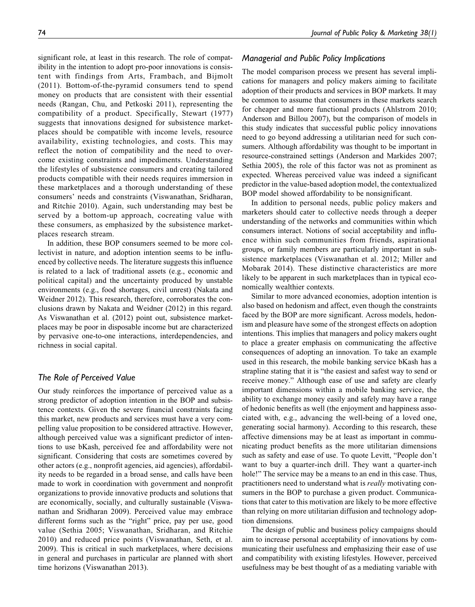significant role, at least in this research. The role of compatibility in the intention to adopt pro-poor innovations is consistent with findings from Arts, Frambach, and Bijmolt (2011). Bottom-of-the-pyramid consumers tend to spend money on products that are consistent with their essential needs (Rangan, Chu, and Petkoski 2011), representing the compatibility of a product. Specifically, Stewart (1977) suggests that innovations designed for subsistence marketplaces should be compatible with income levels, resource availability, existing technologies, and costs. This may reflect the notion of compatibility and the need to overcome existing constraints and impediments. Understanding the lifestyles of subsistence consumers and creating tailored products compatible with their needs requires immersion in these marketplaces and a thorough understanding of these consumers' needs and constraints (Viswanathan, Sridharan, and Ritchie 2010). Again, such understanding may best be served by a bottom-up approach, cocreating value with these consumers, as emphasized by the subsistence marketplaces research stream.

In addition, these BOP consumers seemed to be more collectivist in nature, and adoption intention seems to be influenced by collective needs. The literature suggests this influence is related to a lack of traditional assets (e.g., economic and political capital) and the uncertainty produced by unstable environments (e.g., food shortages, civil unrest) (Nakata and Weidner 2012). This research, therefore, corroborates the conclusions drawn by Nakata and Weidner (2012) in this regard. As Viswanathan et al. (2012) point out, subsistence marketplaces may be poor in disposable income but are characterized by pervasive one-to-one interactions, interdependencies, and richness in social capital.

# *The Role of Perceived Value*

Our study reinforces the importance of perceived value as a strong predictor of adoption intention in the BOP and subsistence contexts. Given the severe financial constraints facing this market, new products and services must have a very compelling value proposition to be considered attractive. However, although perceived value was a significant predictor of intentions to use bKash, perceived fee and affordability were not significant. Considering that costs are sometimes covered by other actors (e.g., nonprofit agencies, aid agencies), affordability needs to be regarded in a broad sense, and calls have been made to work in coordination with government and nonprofit organizations to provide innovative products and solutions that are economically, socially, and culturally sustainable (Viswanathan and Sridharan 2009). Perceived value may embrace different forms such as the "right" price, pay per use, good value (Sethia 2005; Viswanathan, Sridharan, and Ritchie 2010) and reduced price points (Viswanathan, Seth, et al. 2009). This is critical in such marketplaces, where decisions in general and purchases in particular are planned with short time horizons (Viswanathan 2013).

## *Managerial and Public Policy Implications*

The model comparison process we present has several implications for managers and policy makers aiming to facilitate adoption of their products and services in BOP markets. It may be common to assume that consumers in these markets search for cheaper and more functional products (Ahlstrom 2010; Anderson and Billou 2007), but the comparison of models in this study indicates that successful public policy innovations need to go beyond addressing a utilitarian need for such consumers. Although affordability was thought to be important in resource-constrained settings (Anderson and Markides 2007; Sethia 2005), the role of this factor was not as prominent as expected. Whereas perceived value was indeed a significant predictor in the value-based adoption model, the contextualized BOP model showed affordability to be nonsignificant.

In addition to personal needs, public policy makers and marketers should cater to collective needs through a deeper understanding of the networks and communities within which consumers interact. Notions of social acceptability and influence within such communities from friends, aspirational groups, or family members are particularly important in subsistence marketplaces (Viswanathan et al. 2012; Miller and Mobarak 2014). These distinctive characteristics are more likely to be apparent in such marketplaces than in typical economically wealthier contexts.

Similar to more advanced economies, adoption intention is also based on hedonism and affect, even though the constraints faced by the BOP are more significant. Across models, hedonism and pleasure have some of the strongest effects on adoption intentions. This implies that managers and policy makers ought to place a greater emphasis on communicating the affective consequences of adopting an innovation. To take an example used in this research, the mobile banking service bKash has a strapline stating that it is "the easiest and safest way to send or receive money." Although ease of use and safety are clearly important dimensions within a mobile banking service, the ability to exchange money easily and safely may have a range of hedonic benefits as well (the enjoyment and happiness associated with, e.g., advancing the well-being of a loved one, generating social harmony). According to this research, these affective dimensions may be at least as important in communicating product benefits as the more utilitarian dimensions such as safety and ease of use. To quote Levitt, "People don't want to buy a quarter-inch drill. They want a quarter-inch hole!" The service may be a means to an end in this case. Thus, practitioners need to understand what is *really* motivating consumers in the BOP to purchase a given product. Communications that cater to this motivation are likely to be more effective than relying on more utilitarian diffusion and technology adoption dimensions.

The design of public and business policy campaigns should aim to increase personal acceptability of innovations by communicating their usefulness and emphasizing their ease of use and compatibility with existing lifestyles. However, perceived usefulness may be best thought of as a mediating variable with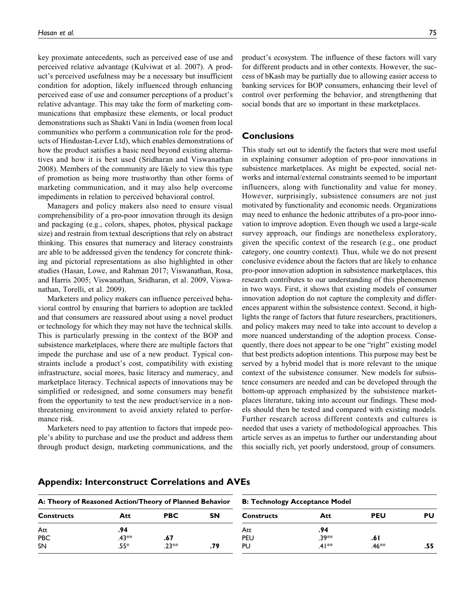key proximate antecedents, such as perceived ease of use and perceived relative advantage (Kulviwat et al. 2007). A product's perceived usefulness may be a necessary but insufficient condition for adoption, likely influenced through enhancing perceived ease of use and consumer perceptions of a product's relative advantage. This may take the form of marketing communications that emphasize these elements, or local product demonstrations such as Shakti Vani in India (women from local communities who perform a communication role for the products of Hindustan-Lever Ltd), which enables demonstrations of how the product satisfies a basic need beyond existing alternatives and how it is best used (Sridharan and Viswanathan 2008). Members of the community are likely to view this type of promotion as being more trustworthy than other forms of marketing communication, and it may also help overcome impediments in relation to perceived behavioral control.

Managers and policy makers also need to ensure visual comprehensibility of a pro-poor innovation through its design and packaging (e.g., colors, shapes, photos, physical package size) and restrain from textual descriptions that rely on abstract thinking. This ensures that numeracy and literacy constraints are able to be addressed given the tendency for concrete thinking and pictorial representations as also highlighted in other studies (Hasan, Lowe, and Rahman 2017; Viswanathan, Rosa, and Harris 2005; Viswanathan, Sridharan, et al. 2009, Viswanathan, Torelli, et al. 2009).

Marketers and policy makers can influence perceived behavioral control by ensuring that barriers to adoption are tackled and that consumers are reassured about using a novel product or technology for which they may not have the technical skills. This is particularly pressing in the context of the BOP and subsistence marketplaces, where there are multiple factors that impede the purchase and use of a new product. Typical constraints include a product's cost, compatibility with existing infrastructure, social mores, basic literacy and numeracy, and marketplace literacy. Technical aspects of innovations may be simplified or redesigned, and some consumers may benefit from the opportunity to test the new product/service in a nonthreatening environment to avoid anxiety related to performance risk.

Marketers need to pay attention to factors that impede people's ability to purchase and use the product and address them through product design, marketing communications, and the product's ecosystem. The influence of these factors will vary for different products and in other contexts. However, the success of bKash may be partially due to allowing easier access to banking services for BOP consumers, enhancing their level of control over performing the behavior, and strengthening that social bonds that are so important in these marketplaces.

# **Conclusions**

This study set out to identify the factors that were most useful in explaining consumer adoption of pro-poor innovations in subsistence marketplaces. As might be expected, social networks and internal/external constraints seemed to be important influencers, along with functionality and value for money. However, surprisingly, subsistence consumers are not just motivated by functionality and economic needs. Organizations may need to enhance the hedonic attributes of a pro-poor innovation to improve adoption. Even though we used a large-scale survey approach, our findings are nonetheless exploratory, given the specific context of the research (e.g., one product category, one country context). Thus, while we do not present conclusive evidence about the factors that are likely to enhance pro-poor innovation adoption in subsistence marketplaces, this research contributes to our understanding of this phenomenon in two ways. First, it shows that existing models of consumer innovation adoption do not capture the complexity and differences apparent within the subsistence context. Second, it highlights the range of factors that future researchers, practitioners, and policy makers may need to take into account to develop a more nuanced understanding of the adoption process. Consequently, there does not appear to be one "right" existing model that best predicts adoption intentions. This purpose may best be served by a hybrid model that is more relevant to the unique context of the subsistence consumer. New models for subsistence consumers are needed and can be developed through the bottom-up approach emphasized by the subsistence marketplaces literature, taking into account our findings. These models should then be tested and compared with existing models. Further research across different contexts and cultures is needed that uses a variety of methodological approaches. This article serves as an impetus to further our understanding about this socially rich, yet poorly understood, group of consumers.

| A: Theory of Reasoned Action/Theory of Planned Behavior |       |            |     | <b>B: Technology Acceptance Model</b> |         |            |     |  |  |  |
|---------------------------------------------------------|-------|------------|-----|---------------------------------------|---------|------------|-----|--|--|--|
| <b>Constructs</b>                                       | Att   | <b>PBC</b> | SΝ  | <b>Constructs</b>                     | Att     | <b>PEU</b> | PU  |  |  |  |
| Att                                                     | .94   |            |     | Att                                   | .94     |            |     |  |  |  |
| <b>PBC</b>                                              | .43** | .67        |     | <b>PEU</b>                            | .39**   | .6 I       |     |  |  |  |
| SN                                                      | .55*  | .23**      | .79 | PU                                    | $.41**$ | .46**      | .55 |  |  |  |

# Appendix: Interconstruct Correlations and AVEs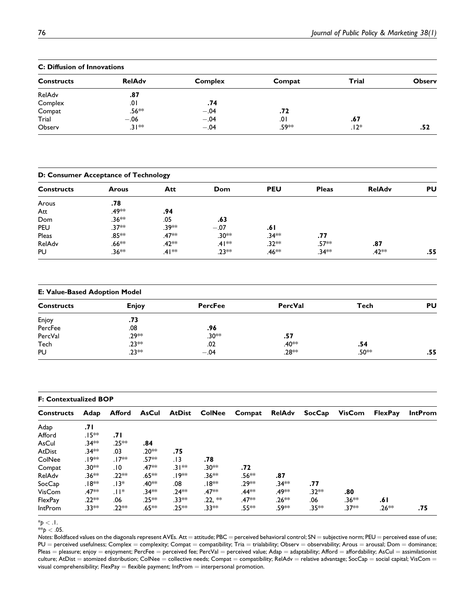| <b>C: Diffusion of Innovations</b> |               |                |        |        |        |  |  |  |  |
|------------------------------------|---------------|----------------|--------|--------|--------|--|--|--|--|
| <b>Constructs</b>                  | <b>RelAdv</b> | <b>Complex</b> | Compat | Trial  | Observ |  |  |  |  |
| RelAdv                             | .87           |                |        |        |        |  |  |  |  |
| Complex                            | 0١.           | .74            |        |        |        |  |  |  |  |
| Compat                             | .56**         | $-.04$         | .72    |        |        |  |  |  |  |
| Trial                              | $-.06$        | $-.04$         | 0١.    | .67    |        |  |  |  |  |
| Observ                             | $.31**$       | $-.04$         | .59**  | $.12*$ | .52    |  |  |  |  |

|                   | D: Consumer Acceptance of Technology |         |         |            |              |                   |           |  |  |  |
|-------------------|--------------------------------------|---------|---------|------------|--------------|-------------------|-----------|--|--|--|
| <b>Constructs</b> | <b>Arous</b>                         | Att     | Dom     | <b>PEU</b> | <b>Pleas</b> | <b>RelAdv</b>     | <b>PU</b> |  |  |  |
| Arous             | .78                                  |         |         |            |              |                   |           |  |  |  |
| Att               | .49**                                | .94     |         |            |              |                   |           |  |  |  |
| Dom               | $.36**$                              | .05     | .63     |            |              |                   |           |  |  |  |
| PEU               | .37**                                | .39**   | $-.07$  | ا 6.       |              |                   |           |  |  |  |
| Pleas             | $.85***$                             | $.47**$ | $.30**$ | $.34***$   | .77          |                   |           |  |  |  |
| RelAdv            | $.66**$                              | $.42**$ | $.41**$ | $.32**$    | .57**        | .87               |           |  |  |  |
| PU                | .36**                                | $.41**$ | $.23**$ | .46**      | $.34**$      | .42 <sup>∗∗</sup> | .55       |  |  |  |

| E: Value-Based Adoption Model |              |                |         |       |     |  |  |  |  |  |
|-------------------------------|--------------|----------------|---------|-------|-----|--|--|--|--|--|
| <b>Constructs</b>             | <b>Enjoy</b> | <b>PercFee</b> | PercVal | Tech  | PU  |  |  |  |  |  |
|                               | .73          |                |         |       |     |  |  |  |  |  |
| Enjoy<br>PercFee              | .08          | .96            |         |       |     |  |  |  |  |  |
| PercVal                       | .29 **       | $.30**$        | .57     |       |     |  |  |  |  |  |
| Tech                          | $.23**$      | .02            | .40**   | .54   |     |  |  |  |  |  |
| PU                            | $.23**$      | $-.04$         | .28 **  | .50** | .55 |  |  |  |  |  |

#### F: Contextualized BOP

| <b>Constructs</b> | Adap    | Afford  | AsCul   |          |           | AtDist ColNee Compat | RelAdv | SocCap  | <b>VisCom</b> | <b>FlexPay</b> | <b>IntProm</b> |
|-------------------|---------|---------|---------|----------|-----------|----------------------|--------|---------|---------------|----------------|----------------|
| Adap              | 7١.     |         |         |          |           |                      |        |         |               |                |                |
| Afford            | $.15**$ | 7١.     |         |          |           |                      |        |         |               |                |                |
| AsCul             | .34**   | .25 **  | .84     |          |           |                      |        |         |               |                |                |
| AtDist            | .34**   | .03     | .20**   | .75      |           |                      |        |         |               |                |                |
| ColNee            | .19**   | $.17**$ | $.57**$ | .13      | .78       |                      |        |         |               |                |                |
| Compat            | .30**   | .10     | .47**   | .31**    | .30**     | .72                  |        |         |               |                |                |
| RelAdv            | .36**   | .22**   | .65**   | .⊺9**    | .36**     | .56**                | .87    |         |               |                |                |
| SocCap            | .18**   | $.13*$  | .40**   | .08      | .18**     | .29**                | .34**  | .77     |               |                |                |
| VisCom            | .47**   | ∗ا ا.   | .34**   | $.24***$ | $.47**$   | .44**                | .49**  | $.32**$ | .80           |                |                |
| FlexPay           | .22**   | .06     | .25**   | .33**    | $.22, **$ | .47**                | .26**  | .06     | .36**         | .6۱            |                |
| <b>IntProm</b>    | .33**   | .22**   | .65**   | .25**    | .33**     | .55**                | .59**  | .35**   | .37**         | $.26**$        | .75            |

\**p* < .1.

\*\**p* < .05.

*Notes:* Boldfaced values on the diagonals represent AVEs. Att = attitude; PBC = perceived behavioral control; SN = subjective norm; PEU = perceived ease of use;  $PU =$  perceived usefulness; Complex = complexity; Compat = compatibility; Tria = trialability; Observ = observability; Arous = arousal; Dom = dominance;  $P$ leas = pleasure; enjoy = enjoyment; PercFee = perceived fee; PercVal = perceived value; Adap = adaptability; Afford = affordability; AsCul = assimilationist culture; AtDist = atomized distribution; ColNee = collective needs; Compat = compatibility; RelAdv = relative advantage; SocCap = social capital; VisCom = visual comprehensibility; FlexPay = flexible payment; IntProm = interpersonal promotion.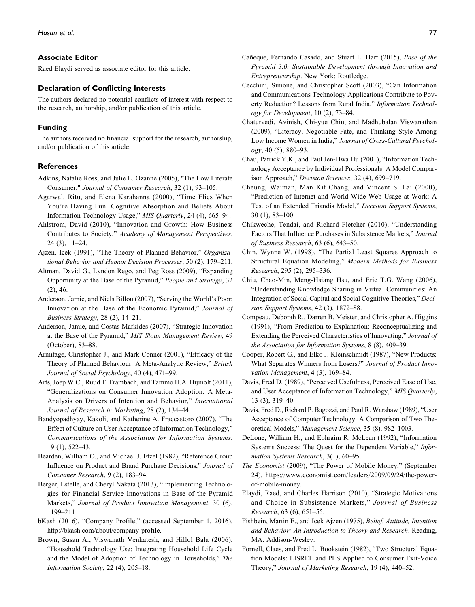#### Associate Editor

Raed Elaydi served as associate editor for this article.

#### Declaration of Conflicting Interests

The authors declared no potential conflicts of interest with respect to the research, authorship, and/or publication of this article.

#### Funding

The authors received no financial support for the research, authorship, and/or publication of this article.

#### **References**

- Adkins, Natalie Ross, and Julie L. Ozanne (2005), "The Low Literate Consumer," *Journal of Consumer Research*, 32 (1), 93–105.
- Agarwal, Ritu, and Elena Karahanna (2000), "Time Flies When You're Having Fun: Cognitive Absorption and Beliefs About Information Technology Usage," *MIS Quarterly*, 24 (4), 665–94.
- Ahlstrom, David (2010), "Innovation and Growth: How Business Contributes to Society," *Academy of Management Perspectives*, 24 (3), 11–24.
- Ajzen, Icek (1991), "The Theory of Planned Behavior," *Organizational Behavior and Human Decision Processes*, 50 (2), 179–211.
- Altman, David G., Lyndon Rego, and Peg Ross (2009), "Expanding Opportunity at the Base of the Pyramid," *People and Strategy*, 32  $(2)$ , 46.
- Anderson, Jamie, and Niels Billou (2007), "Serving the World's Poor: Innovation at the Base of the Economic Pyramid," *Journal of Business Strategy*, 28 (2), 14–21.
- Anderson, Jamie, and Costas Markides (2007), "Strategic Innovation at the Base of the Pyramid," *MIT Sloan Management Review*, 49 (October), 83–88.
- Armitage, Christopher J., and Mark Conner (2001), "Efficacy of the Theory of Planned Behaviour: A Meta-Analytic Review," *British Journal of Social Psychology*, 40 (4), 471–99.
- Arts, Joep W.C., Ruud T. Frambach, and Tammo H.A. Bijmolt (2011), "Generalizations on Consumer Innovation Adoption: A Meta-Analysis on Drivers of Intention and Behavior," *International Journal of Research in Marketing*, 28 (2), 134–44.
- Bandyopadhyay, Kakoli, and Katherine A. Fraccastoro (2007), "The Effect of Culture on User Acceptance of Information Technology," *Communications of the Association for Information Systems*, 19 (1), 522–43.
- Bearden, William O., and Michael J. Etzel (1982), "Reference Group Influence on Product and Brand Purchase Decisions," *Journal of Consumer Research*, 9 (2), 183–94.
- Berger, Estelle, and Cheryl Nakata (2013), "Implementing Technologies for Financial Service Innovations in Base of the Pyramid Markets," *Journal of Product Innovation Management*, 30 (6), 1199–211.
- bKash (2016), "Company Profile," (accessed September 1, 2016), <http://bkash.com/about/company-profile>.
- Brown, Susan A., Viswanath Venkatesh, and Hillol Bala (2006), "Household Technology Use: Integrating Household Life Cycle and the Model of Adoption of Technology in Households," *The Information Society*, 22 (4), 205–18.
- Cañeque, Fernando Casado, and Stuart L. Hart (2015), *Base of the Pyramid 3.0: Sustainable Development through Innovation and Entrepreneurship*. New York: Routledge.
- Cecchini, Simone, and Christopher Scott (2003), "Can Information and Communications Technology Applications Contribute to Poverty Reduction? Lessons from Rural India," *Information Technology for Development*, 10 (2), 73–84.
- Chaturvedi, Avinish, Chi-yue Chiu, and Madhubalan Viswanathan (2009), "Literacy, Negotiable Fate, and Thinking Style Among Low Income Women in India," *Journal of Cross-Cultural Psychology*, 40 (5), 880–93.
- Chau, Patrick Y.K., and Paul Jen-Hwa Hu (2001), "Information Technology Acceptance by Individual Professionals: A Model Comparison Approach," *Decision Sciences*, 32 (4), 699–719.
- Cheung, Waiman, Man Kit Chang, and Vincent S. Lai (2000), "Prediction of Internet and World Wide Web Usage at Work: A Test of an Extended Triandis Model," *Decision Support Systems*, 30 (1), 83–100.
- Chikweche, Tendai, and Richard Fletcher (2010), "Understanding Factors That Influence Purchases in Subsistence Markets," *Journal of Business Research*, 63 (6), 643–50.
- Chin, Wynne W. (1998), "The Partial Least Squares Approach to Structural Equation Modeling," *Modern Methods for Business Research*, 295 (2), 295–336.
- Chiu, Chao-Min, Meng-Hsiang Hsu, and Eric T.G. Wang (2006), "Understanding Knowledge Sharing in Virtual Communities: An Integration of Social Capital and Social Cognitive Theories," *Decision Support Systems*, 42 (3), 1872–88.
- Compeau, Deborah R., Darren B. Meister, and Christopher A. Higgins (1991), "From Prediction to Explanation: Reconceptualizing and Extending the Perceived Characteristics of Innovating," *Journal of the Association for Information Systems*, 8 (8), 409–39.
- Cooper, Robert G., and Elko J. Kleinschmidt (1987), "New Products: What Separates Winners from Losers?" *Journal of Product Innovation Management*, 4 (3), 169–84.
- Davis, Fred D. (1989), "Perceived Usefulness, Perceived Ease of Use, and User Acceptance of Information Technology," *MIS Quarterly*, 13 (3), 319–40.
- Davis, Fred D., Richard P. Bagozzi, and Paul R. Warshaw (1989), "User Acceptance of Computer Technology: A Comparison of Two Theoretical Models," *Management Science*, 35 (8), 982–1003.
- DeLone, William H., and Ephraim R. McLean (1992), "Information Systems Success: The Quest for the Dependent Variable," *Information Systems Research*, 3(1), 60–95.
- *The Economist* (2009), "The Power of Mobile Money," (September 24), [https://www.economist.com/leaders/2009/09/24/the-power](https://www.economist.com/leaders/2009/09/24/the-power-of-mobile-money)[of-mobile-money.](https://www.economist.com/leaders/2009/09/24/the-power-of-mobile-money)
- Elaydi, Raed, and Charles Harrison (2010), "Strategic Motivations and Choice in Subsistence Markets," *Journal of Business Research*, 63 (6), 651–55.
- Fishbein, Martin E., and Icek Ajzen (1975), *Belief, Attitude, Intention and Behavior: An Introduction to Theory and Research*. Reading, MA: Addison-Wesley.
- Fornell, Claes, and Fred L. Bookstein (1982), "Two Structural Equation Models: LISREL and PLS Applied to Consumer Exit-Voice Theory," *Journal of Marketing Research*, 19 (4), 440–52.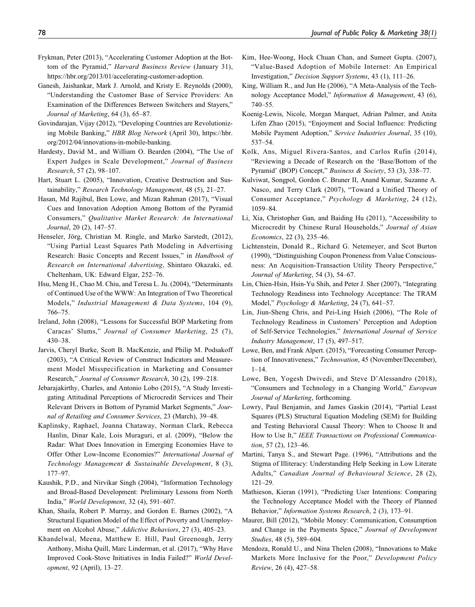- Frykman, Peter (2013), "Accelerating Customer Adoption at the Bottom of the Pyramid," *Harvard Business Review* (January 31), [https://hbr.org/2013/01/accelerating-customer-adoption.](https://hbr.org/2013/01/accelerating-customer-adoption)
- Ganesh, Jaishankar, Mark J. Arnold, and Kristy E. Reynolds (2000), "Understanding the Customer Base of Service Providers: An Examination of the Differences Between Switchers and Stayers," *Journal of Marketing*, 64 (3), 65–87.
- Govindarajan, Vijay (2012), "Developing Countries are Revolutionizing Mobile Banking," *HBR Blog Network* (April 30), [https://hbr.](https://hbr.org/2012/04/innovations-in-mobile-banking) [org/2012/04/innovations-in-mobile-banking](https://hbr.org/2012/04/innovations-in-mobile-banking).
- Hardesty, David M., and William O. Bearden (2004), "The Use of Expert Judges in Scale Development," *Journal of Business Research*, 57 (2), 98–107.
- Hart, Stuart L. (2005), "Innovation, Creative Destruction and Sustainability," *Research Technology Management*, 48 (5), 21–27.
- Hasan, Md Rajibul, Ben Lowe, and Mizan Rahman (2017), "Visual Cues and Innovation Adoption Among Bottom of the Pyramid Consumers," *Qualitative Market Research: An International Journal*, 20 (2), 147–57.
- Henseler, Jörg, Christian M. Ringle, and Marko Sarstedt, (2012), "Using Partial Least Squares Path Modeling in Advertising Research: Basic Concepts and Recent Issues," in *Handbook of Research on International Advertising*, Shintaro Okazaki, ed. Cheltenham, UK: Edward Elgar, 252–76.
- Hsu, Meng H., Chao M. Chiu, and Teresa L. Ju. (2004), "Determinants of Continued Use of the WWW: An Integration of Two Theoretical Models," *Industrial Management & Data Systems*, 104 (9), 766–75.
- Ireland, John (2008), "Lessons for Successful BOP Marketing from Caracas' Slums," *Journal of Consumer Marketing*, 25 (7), 430–38.
- Jarvis, Cheryl Burke, Scott B. MacKenzie, and Philip M. Podsakoff (2003), "A Critical Review of Construct Indicators and Measurement Model Misspecification in Marketing and Consumer Research," *Journal of Consumer Research*, 30 (2), 199–218.
- Jebarajakirthy, Charles, and Antonio Lobo (2015), "A Study Investigating Attitudinal Perceptions of Microcredit Services and Their Relevant Drivers in Bottom of Pyramid Market Segments," *Journal of Retailing and Consumer Services*, 23 (March), 39–48.
- Kaplinsky, Raphael, Joanna Chataway, Norman Clark, Rebecca Hanlin, Dinar Kale, Lois Muraguri, et al. (2009), "Below the Radar: What Does Innovation in Emerging Economies Have to Offer Other Low-Income Economies?" *International Journal of Technology Management & Sustainable Development*, 8 (3), 177–97.
- Kaushik, P.D., and Nirvikar Singh (2004), "Information Technology and Broad-Based Development: Preliminary Lessons from North India," *World Development*, 32 (4), 591–607.
- Khan, Shaila, Robert P. Murray, and Gordon E. Barnes (2002), "A Structural Equation Model of the Effect of Poverty and Unemployment on Alcohol Abuse," *Addictive Behaviors*, 27 (3), 405–23.
- Khandelwal, Meena, Matthew E. Hill, Paul Greenough, Jerry Anthony, Misha Quill, Marc Linderman, et al. (2017), "Why Have Improved Cook-Stove Initiatives in India Failed?" *World Development*, 92 (April), 13–27.
- Kim, Hee-Woong, Hock Chuan Chan, and Sumeet Gupta. (2007), "Value-Based Adoption of Mobile Internet: An Empirical Investigation," *Decision Support Systems*, 43 (1), 111–26.
- King, William R., and Jun He (2006), "A Meta-Analysis of the Technology Acceptance Model," *Information & Management*, 43 (6), 740–55.
- Koenig-Lewis, Nicole, Morgan Marquet, Adrian Palmer, and Anita Lifen Zhao (2015), "Enjoyment and Social Influence: Predicting Mobile Payment Adoption," *Service Industries Journal*, 35 (10), 537–54.
- Kolk, Ans, Miguel Rivera-Santos, and Carlos Rufín (2014), "Reviewing a Decade of Research on the 'Base/Bottom of the Pyramid' (BOP) Concept," *Business & Society*, 53 (3), 338–77.
- Kulviwat, Songpol, Gordon C. Bruner II, Anand Kumar, Suzanne A. Nasco, and Terry Clark (2007), "Toward a Unified Theory of Consumer Acceptance," *Psychology & Marketing*, 24 (12), 1059–84.
- Li, Xia, Christopher Gan, and Baiding Hu (2011), "Accessibility to Microcredit by Chinese Rural Households," *Journal of Asian Economics*, 22 (3), 235–46.
- Lichtenstein, Donald R., Richard G. Netemeyer, and Scot Burton (1990), "Distinguishing Coupon Proneness from Value Consciousness: An Acquisition-Transaction Utility Theory Perspective," *Journal of Marketing*, 54 (3), 54–67.
- Lin, Chien-Hsin, Hsin-Yu Shih, and Peter J. Sher (2007), "Integrating Technology Readiness into Technology Acceptance: The TRAM Model," *Psychology & Marketing*, 24 (7), 641–57.
- Lin, Jiun-Sheng Chris, and Pei-Ling Hsieh (2006), "The Role of Technology Readiness in Customers' Perception and Adoption of Self-Service Technologies," *International Journal of Service Industry Management*, 17 (5), 497–517.
- Lowe, Ben, and Frank Alpert. (2015), "Forecasting Consumer Perception of Innovativeness," *Technovation*, 45 (November/December), 1–14.
- Lowe, Ben, Yogesh Dwivedi, and Steve D'Alessandro (2018), "Consumers and Technology in a Changing World," *European Journal of Marketing*, forthcoming.
- Lowry, Paul Benjamin, and James Gaskin (2014), "Partial Least Squares (PLS) Structural Equation Modeling (SEM) for Building and Testing Behavioral Causal Theory: When to Choose It and How to Use It," *IEEE Transactions on Professional Communication*, 57 (2), 123–46.
- Martini, Tanya S., and Stewart Page. (1996), "Attributions and the Stigma of Illiteracy: Understanding Help Seeking in Low Literate Adults," *Canadian Journal of Behavioural Science*, 28 (2), 121–29.
- Mathieson, Kieran (1991), "Predicting User Intentions: Comparing the Technology Acceptance Model with the Theory of Planned Behavior," *Information Systems Research*, 2 (3), 173–91.
- Maurer, Bill (2012), "Mobile Money: Communication, Consumption and Change in the Payments Space," *Journal of Development Studies*, 48 (5), 589–604.
- Mendoza, Ronald U., and Nina Thelen (2008), "Innovations to Make Markets More Inclusive for the Poor," *Development Policy Review*, 26 (4), 427–58.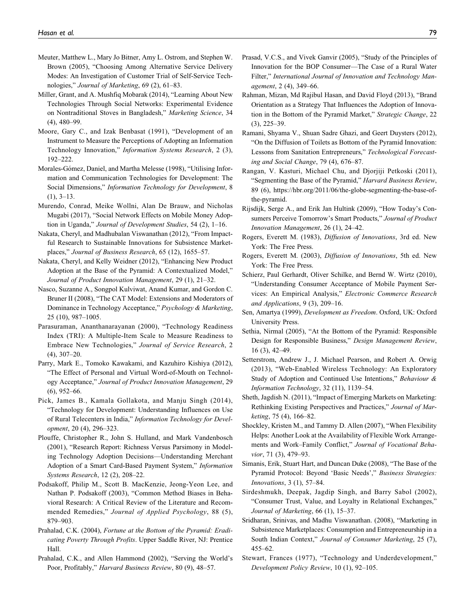- Meuter, Matthew L., Mary Jo Bitner, Amy L. Ostrom, and Stephen W. Brown (2005), "Choosing Among Alternative Service Delivery Modes: An Investigation of Customer Trial of Self-Service Technologies," *Journal of Marketing*, 69 (2), 61–83.
- Miller, Grant, and A. Mushfiq Mobarak (2014), "Learning About New Technologies Through Social Networks: Experimental Evidence on Nontraditional Stoves in Bangladesh," *Marketing Science*, 34 (4), 480–99.
- Moore, Gary C., and Izak Benbasat (1991), "Development of an Instrument to Measure the Perceptions of Adopting an Information Technology Innovation," *Information Systems Research*, 2 (3), 192–222.
- Morales-Gómez, Daniel, and Martha Melesse (1998), "Utilising Information and Communication Technologies for Development: The Social Dimensions," *Information Technology for Development*, 8  $(1), 3-13.$
- Murendo, Conrad, Meike Wollni, Alan De Brauw, and Nicholas Mugabi (2017), "Social Network Effects on Mobile Money Adoption in Uganda," *Journal of Development Studies*, 54 (2), 1–16.
- Nakata, Cheryl, and Madhubalan Viswanathan (2012), "From Impactful Research to Sustainable Innovations for Subsistence Marketplaces," *Journal of Business Research*, 65 (12), 1655–57.
- Nakata, Cheryl, and Kelly Weidner (2012), "Enhancing New Product Adoption at the Base of the Pyramid: A Contextualized Model," *Journal of Product Innovation Management*, 29 (1), 21–32.
- Nasco, Suzanne A., Songpol Kulviwat, Anand Kumar, and Gordon C. Bruner II (2008), "The CAT Model: Extensions and Moderators of Dominance in Technology Acceptance," *Psychology & Marketing*, 25 (10), 987–1005.
- Parasuraman, Ananthanarayanan (2000), "Technology Readiness Index (TRI): A Multiple-Item Scale to Measure Readiness to Embrace New Technologies," *Journal of Service Research*, 2 (4), 307–20.
- Parry, Mark E., Tomoko Kawakami, and Kazuhiro Kishiya (2012), "The Effect of Personal and Virtual Word-of-Mouth on Technology Acceptance," *Journal of Product Innovation Management*, 29 (6), 952–66.
- Pick, James B., Kamala Gollakota, and Manju Singh (2014), "Technology for Development: Understanding Influences on Use of Rural Telecenters in India," *Information Technology for Development*, 20 (4), 296–323.
- Plouffe, Christopher R., John S. Hulland, and Mark Vandenbosch (2001), "Research Report: Richness Versus Parsimony in Modeling Technology Adoption Decisions—Understanding Merchant Adoption of a Smart Card-Based Payment System," *Information Systems Research*, 12 (2), 208–22.
- Podsakoff, Philip M., Scott B. MacKenzie, Jeong-Yeon Lee, and Nathan P. Podsakoff (2003), "Common Method Biases in Behavioral Research: A Critical Review of the Literature and Recommended Remedies," *Journal of Applied Psychology*, 88 (5), 879–903.
- Prahalad, C.K. (2004), *Fortune at the Bottom of the Pyramid: Eradicating Poverty Through Profits*. Upper Saddle River, NJ: Prentice Hall.
- Prahalad, C.K., and Allen Hammond (2002), "Serving the World's Poor, Profitably," *Harvard Business Review*, 80 (9), 48–57.
- Prasad, V.C.S., and Vivek Ganvir (2005), "Study of the Principles of Innovation for the BOP Consumer—The Case of a Rural Water Filter," *International Journal of Innovation and Technology Management*, 2 (4), 349–66.
- Rahman, Mizan, Md Rajibul Hasan, and David Floyd (2013), "Brand Orientation as a Strategy That Influences the Adoption of Innovation in the Bottom of the Pyramid Market," *Strategic Change*, 22 (3), 225–39.
- Ramani, Shyama V., Shuan Sadre Ghazi, and Geert Duysters (2012), "On the Diffusion of Toilets as Bottom of the Pyramid Innovation: Lessons from Sanitation Entrepreneurs," *Technological Forecasting and Social Change*, 79 (4), 676–87.
- Rangan, V. Kasturi, Michael Chu, and Djorjiji Petkoski (2011), "Segmenting the Base of the Pyramid," *Harvard Business Review*, 89 (6), [https://hbr.org/2011/06/the-globe-segmenting-the-base-of](https://hbr.org/2011/06/the-globe-segmenting-the-base-of-the-pyramid)[the-pyramid.](https://hbr.org/2011/06/the-globe-segmenting-the-base-of-the-pyramid)
- Rijsdijk, Serge A., and Erik Jan Hultink (2009), "How Today's Consumers Perceive Tomorrow's Smart Products," *Journal of Product Innovation Management*, 26 (1), 24–42.
- Rogers, Everett M. (1983), *Diffusion of Innovations*, 3rd ed. New York: The Free Press.
- Rogers, Everett M. (2003), *Diffusion of Innovations*, 5th ed. New York: The Free Press.
- Schierz, Paul Gerhardt, Oliver Schilke, and Bernd W. Wirtz (2010), "Understanding Consumer Acceptance of Mobile Payment Services: An Empirical Analysis," *Electronic Commerce Research and Applications*, 9 (3), 209–16.
- Sen, Amartya (1999), *Development as Freedom*. Oxford, UK: Oxford University Press.
- Sethia, Nirmal (2005), "At the Bottom of the Pyramid: Responsible Design for Responsible Business," *Design Management Review*, 16 (3), 42–49.
- Setterstrom, Andrew J., J. Michael Pearson, and Robert A. Orwig (2013), "Web-Enabled Wireless Technology: An Exploratory Study of Adoption and Continued Use Intentions," *Behaviour & Information Technology*, 32 (11), 1139–54.
- Sheth, Jagdish N. (2011), "Impact of Emerging Markets on Marketing: Rethinking Existing Perspectives and Practices," *Journal of Marketing*, 75 (4), 166–82.
- Shockley, Kristen M., and Tammy D. Allen (2007), "When Flexibility Helps: Another Look at the Availability of Flexible Work Arrangements and Work–Family Conflict," *Journal of Vocational Behavior*, 71 (3), 479–93.
- Simanis, Erik, Stuart Hart, and Duncan Duke (2008), "The Base of the Pyramid Protocol: Beyond 'Basic Needs'," *Business Strategies: Innovations*, 3 (1), 57–84.
- Sirdeshmukh, Deepak, Jagdip Singh, and Barry Sabol (2002), "Consumer Trust, Value, and Loyalty in Relational Exchanges," *Journal of Marketing*, 66 (1), 15–37.
- Sridharan, Srinivas, and Madhu Viswanathan. (2008), "Marketing in Subsistence Marketplaces: Consumption and Entrepreneurship in a South Indian Context," *Journal of Consumer Marketing*, 25 (7), 455–62.
- Stewart, Frances (1977), "Technology and Underdevelopment," *Development Policy Review*, 10 (1), 92–105.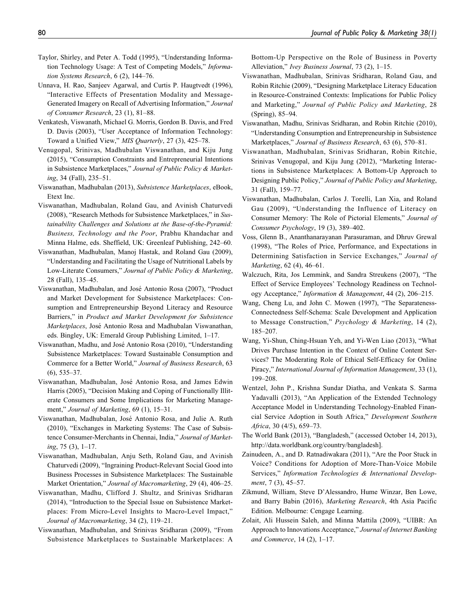- Taylor, Shirley, and Peter A. Todd (1995), "Understanding Information Technology Usage: A Test of Competing Models," *Information Systems Research*, 6 (2), 144–76.
- Unnava, H. Rao, Sanjeev Agarwal, and Curtis P. Haugtvedt (1996), "Interactive Effects of Presentation Modality and Message-Generated Imagery on Recall of Advertising Information," *Journal of Consumer Research*, 23 (1), 81–88.
- Venkatesh, Viswanath, Michael G. Morris, Gordon B. Davis, and Fred D. Davis (2003), "User Acceptance of Information Technology: Toward a Unified View," *MIS Quarterly*, 27 (3), 425–78.
- Venugopal, Srinivas, Madhubalan Viswanathan, and Kiju Jung (2015), "Consumption Constraints and Entrepreneurial Intentions in Subsistence Marketplaces," *Journal of Public Policy & Marketing*, 34 (Fall), 235–51.
- Viswanathan, Madhubalan (2013), *Subsistence Marketplaces*, eBook, Etext Inc.
- Viswanathan, Madhubalan, Roland Gau, and Avinish Chaturvedi (2008), "Research Methods for Subsistence Marketplaces," in *Sustainability Challenges and Solutions at the Base-of-the-Pyramid: Business, Technology and the Poor*, Prabhu Khandachar and Minna Halme, eds. Sheffield, UK: Greenleaf Publishing, 242–60.
- Viswanathan, Madhubalan, Manoj Hastak, and Roland Gau (2009), "Understanding and Facilitating the Usage of Nutritional Labels by Low-Literate Consumers," *Journal of Public Policy & Marketing*, 28 (Fall), 135–45.
- Viswanathan, Madhubalan, and José Antonio Rosa (2007), "Product and Market Development for Subsistence Marketplaces: Consumption and Entrepreneurship Beyond Literacy and Resource Barriers," in *Product and Market Development for Subsistence Marketplaces*, José Antonio Rosa and Madhubalan Viswanathan, eds. Bingley, UK: Emerald Group Publishing Limited, 1–17.
- Viswanathan, Madhu, and José Antonio Rosa (2010), "Understanding Subsistence Marketplaces: Toward Sustainable Consumption and Commerce for a Better World," *Journal of Business Research*, 63 (6), 535–37.
- Viswanathan, Madhubalan, José Antonio Rosa, and James Edwin Harris (2005), "Decision Making and Coping of Functionally Illiterate Consumers and Some Implications for Marketing Management," *Journal of Marketing*, 69 (1), 15–31.
- Viswanathan, Madhubalan, Jos´e Antonio Rosa, and Julie A. Ruth (2010), "Exchanges in Marketing Systems: The Case of Subsistence Consumer-Merchants in Chennai, India," *Journal of Marketing*, 75 (3), 1–17.
- Viswanathan, Madhubalan, Anju Seth, Roland Gau, and Avinish Chaturvedi (2009), "Ingraining Product-Relevant Social Good into Business Processes in Subsistence Marketplaces: The Sustainable Market Orientation," *Journal of Macromarketing*, 29 (4), 406–25.
- Viswanathan, Madhu, Clifford J. Shultz, and Srinivas Sridharan (2014), "Introduction to the Special Issue on Subsistence Marketplaces: From Micro-Level Insights to Macro-Level Impact," *Journal of Macromarketing*, 34 (2), 119–21.
- Viswanathan, Madhubalan, and Srinivas Sridharan (2009), "From Subsistence Marketplaces to Sustainable Marketplaces: A

Bottom-Up Perspective on the Role of Business in Poverty Alleviation," *Ivey Business Journal*, 73 (2), 1–15.

- Viswanathan, Madhubalan, Srinivas Sridharan, Roland Gau, and Robin Ritchie (2009), "Designing Marketplace Literacy Education in Resource-Constrained Contexts: Implications for Public Policy and Marketing," *Journal of Public Policy and Marketing*, 28 (Spring), 85–94.
- Viswanathan, Madhu, Srinivas Sridharan, and Robin Ritchie (2010), "Understanding Consumption and Entrepreneurship in Subsistence Marketplaces," *Journal of Business Research*, 63 (6), 570–81.
- Viswanathan, Madhubalan, Srinivas Sridharan, Robin Ritchie, Srinivas Venugopal, and Kiju Jung (2012), "Marketing Interactions in Subsistence Marketplaces: A Bottom-Up Approach to Designing Public Policy," *Journal of Public Policy and Marketing*, 31 (Fall), 159–77.
- Viswanathan, Madhubalan, Carlos J. Torelli, Lan Xia, and Roland Gau (2009), "Understanding the Influence of Literacy on Consumer Memory: The Role of Pictorial Elements," *Journal of Consumer Psychology*, 19 (3), 389–402.
- Voss, Glenn B., Ananthanarayanan Parasuraman, and Dhruv Grewal (1998), "The Roles of Price, Performance, and Expectations in Determining Satisfaction in Service Exchanges," *Journal of Marketing*, 62 (4), 46–61.
- Walczuch, Rita, Jos Lemmink, and Sandra Streukens (2007), "The Effect of Service Employees' Technology Readiness on Technology Acceptance," *Information & Management*, 44 (2), 206–215.
- Wang, Cheng Lu, and John C. Mowen (1997), "The Separateness-Connectedness Self-Schema: Scale Development and Application to Message Construction," *Psychology & Marketing*, 14 (2), 185–207.
- Wang, Yi-Shun, Ching-Hsuan Yeh, and Yi-Wen Liao (2013), "What Drives Purchase Intention in the Context of Online Content Services? The Moderating Role of Ethical Self-Efficacy for Online Piracy," *International Journal of Information Management*, 33 (1), 199–208.
- Wentzel, John P., Krishna Sundar Diatha, and Venkata S. Sarma Yadavalli (2013), "An Application of the Extended Technology Acceptance Model in Understanding Technology-Enabled Financial Service Adoption in South Africa," *Development Southern Africa*, 30 (4/5), 659–73.
- The World Bank (2013), "Bangladesh," (accessed October 14, 2013), <http://data.worldbank.org/country/bangladesh>].
- Zainudeen, A., and D. Ratnadiwakara (2011), "Are the Poor Stuck in Voice? Conditions for Adoption of More-Than-Voice Mobile Services," *Information Technologies & International Development*, 7 (3), 45–57.
- Zikmund, William, Steve D'Alessandro, Hume Winzar, Ben Lowe, and Barry Babin (2016), *Marketing Research*, 4th Asia Pacific Edition. Melbourne: Cengage Learning.
- Zolait, Ali Hussein Saleh, and Minna Mattila (2009), "UIBR: An Approach to Innovations Acceptance," *Journal of Internet Banking and Commerce*, 14 (2), 1–17.